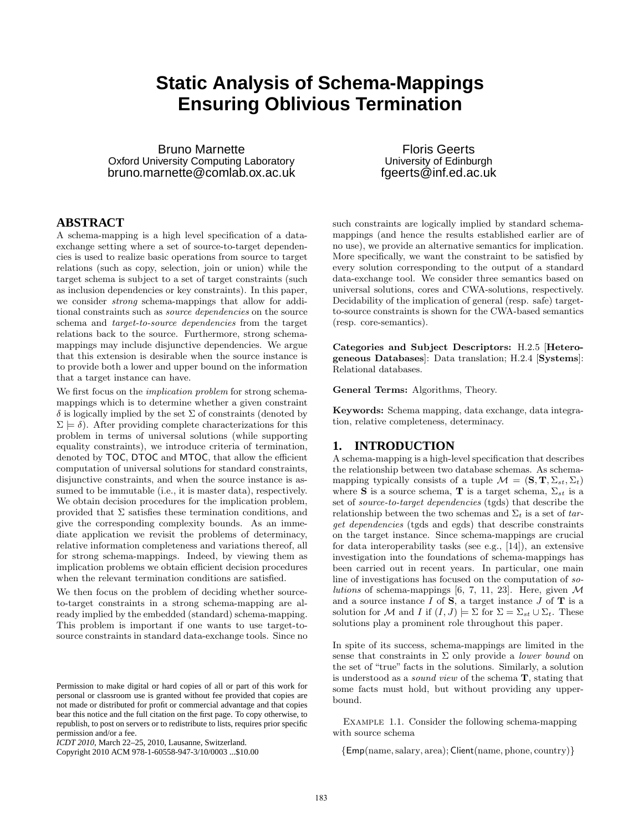# **Static Analysis of Schema-Mappings Ensuring Oblivious Termination**

Bruno Marnette Oxford University Computing Laboratory bruno.marnette@comlab.ox.ac.uk

**ABSTRACT**

A schema-mapping is a high level specification of a dataexchange setting where a set of source-to-target dependencies is used to realize basic operations from source to target relations (such as copy, selection, join or union) while the target schema is subject to a set of target constraints (such as inclusion dependencies or key constraints). In this paper, we consider *strong* schema-mappings that allow for additional constraints such as *source dependencies* on the source schema and *target-to-source dependencies* from the target relations back to the source. Furthermore, strong schemamappings may include disjunctive dependencies. We argue that this extension is desirable when the source instance is to provide both a lower and upper bound on the information that a target instance can have.

We first focus on the *implication problem* for strong schemamappings which is to determine whether a given constraint  $\delta$  is logically implied by the set  $\Sigma$  of constraints (denoted by  $\Sigma \models \delta$ . After providing complete characterizations for this problem in terms of universal solutions (while supporting equality constraints), we introduce criteria of termination, denoted by **TOC**, **DTOC** and **MTOC**, that allow the efficient computation of universal solutions for standard constraints, disjunctive constraints, and when the source instance is assumed to be immutable (i.e., it is master data), respectively. We obtain decision procedures for the implication problem, provided that  $\Sigma$  satisfies these termination conditions, and give the corresponding complexity bounds. As an immediate application we revisit the problems of determinacy, relative information completeness and variations thereof, all for strong schema-mappings. Indeed, by viewing them as implication problems we obtain efficient decision procedures when the relevant termination conditions are satisfied.

We then focus on the problem of deciding whether sourceto-target constraints in a strong schema-mapping are already implied by the embedded (standard) schema-mapping. This problem is important if one wants to use target-tosource constraints in standard data-exchange tools. Since no such constraints are logically implied by standard schemamappings (and hence the results established earlier are of no use), we provide an alternative semantics for implication. More specifically, we want the constraint to be satisfied by every solution corresponding to the output of a standard data-exchange tool. We consider three semantics based on universal solutions, cores and CWA-solutions, respectively. Decidability of the implication of general (resp. safe) targetto-source constraints is shown for the CWA-based semantics (resp. core-semantics).

Floris Geerts University of Edinburgh fgeerts@inf.ed.ac.uk

Categories and Subject Descriptors: H.2.5 [Heterogeneous Databases]: Data translation; H.2.4 [Systems]: Relational databases.

General Terms: Algorithms, Theory.

Keywords: Schema mapping, data exchange, data integration, relative completeness, determinacy.

#### **1. INTRODUCTION**

A schema-mapping is a high-level specification that describes the relationship between two database schemas. As schemamapping typically consists of a tuple  $\mathcal{M} = (\mathbf{S}, \mathbf{T}, \Sigma_{st}, \Sigma_t)$ where S is a source schema, T is a target schema,  $\Sigma_{st}$  is a set of *source-to-target dependencies* (tgds) that describe the relationship between the two schemas and  $\Sigma_t$  is a set of *target dependencies* (tgds and egds) that describe constraints on the target instance. Since schema-mappings are crucial for data interoperability tasks (see e.g., [14]), an extensive investigation into the foundations of schema-mappings has been carried out in recent years. In particular, one main line of investigations has focused on the computation of *solutions* of schema-mappings [6, 7, 11, 23]. Here, given  $\mathcal M$ and a source instance  $I$  of  $S$ , a target instance  $J$  of  $T$  is a solution for M and I if  $(I, J) \models \Sigma$  for  $\Sigma = \Sigma_{st} \cup \Sigma_{t}$ . These solutions play a prominent role throughout this paper.

In spite of its success, schema-mappings are limited in the sense that constraints in  $\Sigma$  only provide a *lower bound* on the set of "true" facts in the solutions. Similarly, a solution is understood as a *sound view* of the schema T, stating that some facts must hold, but without providing any upperbound.

Example 1.1. Consider the following schema-mapping with source schema

{Emp(name, salary, area); Client(name, phone, country)}

Permission to make digital or hard copies of all or part of this work for personal or classroom use is granted without fee provided that copies are not made or distributed for profit or commercial advantage and that copies bear this notice and the full citation on the first page. To copy otherwise, to republish, to post on servers or to redistribute to lists, requires prior specific permission and/or a fee.

*ICDT 2010*, March 22–25, 2010, Lausanne, Switzerland.

Copyright 2010 ACM 978-1-60558-947-3/10/0003 ...\$10.00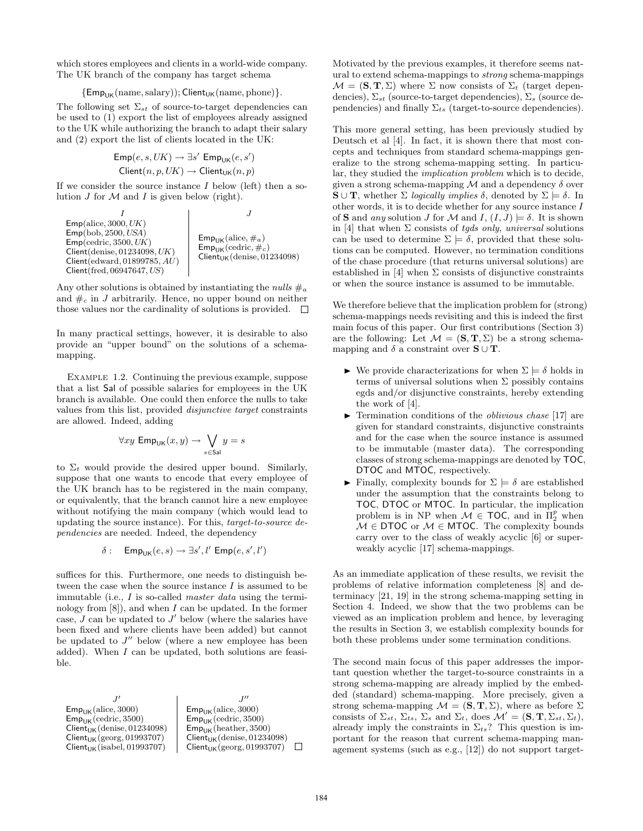which stores employees and clients in a world-wide company. The UK branch of the company has target schema

$$
\{{\sf Emp}_{{\sf UK}}(\mathrm{name},\mathrm{salary})); {\sf Client}_{{\sf UK}}(\mathrm{name},\mathrm{phone})\}.
$$

The following set  $\Sigma_{st}$  of source-to-target dependencies can be used to (1) export the list of employees already assigned to the UK while authorizing the branch to adapt their salary and (2) export the list of clients located in the UK:

$$
\begin{aligned} \mathsf{Emp}(e,s,UK) &\rightarrow \exists s' \; \mathsf{Emp}_\mathsf{UK}(e,s') \\ \mathsf{Client}(n,p,UK) &\rightarrow \mathsf{Client}_\mathsf{UK}(n,p) \end{aligned}
$$

If we consider the source instance  $I$  below (left) then a solution  $J$  for  $\mathcal M$  and  $I$  is given below (right).

| $I$                          | $J$                                     |
|------------------------------|-----------------------------------------|
| Emp(alice, 3000, UK)         | Emp <sub>UK</sub> (alice, #a)           |
| Emp(cedric, 3500, USA)       | Emp <sub>UK</sub> (alice, #a)           |
| Client(denise, 01234098, UK) | Emp <sub>UK</sub> (cedric, #c)          |
| Client(edward, 01899785, AU) | Client <sub>UK</sub> (denise, 01234098) |
| Client(fred, 06947647, US)   | Client <sub>UK</sub> (denise, 01234098) |

Any other solutions is obtained by instantiating the *nulls*  $\#$ <sub>a</sub> and  $\#_c$  in J arbitrarily. Hence, no upper bound on neither those values nor the cardinality of solutions is provided.  $\square$ 

In many practical settings, however, it is desirable to also provide an "upper bound" on the solutions of a schemamapping.

EXAMPLE 1.2. Continuing the previous example, suppose that a list Sal of possible salaries for employees in the UK branch is available. One could then enforce the nulls to take values from this list, provided *disjunctive target* constraints are allowed. Indeed, adding

$$
\forall xy \; \mathsf{Emp}_{\mathsf{UK}}(x, y) \to \bigvee_{s \in \mathsf{Sal}} y = s
$$

to  $\Sigma_t$  would provide the desired upper bound. Similarly, suppose that one wants to encode that every employee of the UK branch has to be registered in the main company, or equivalently, that the branch cannot hire a new employee without notifying the main company (which would lead to updating the source instance). For this, *target-to-source dependencies* are needed. Indeed, the dependency

$$
\delta: \quad \mathsf{Emp}_\mathsf{UK}(e,s) \to \exists s', l' \ \mathsf{Emp}(e,s',l')
$$

suffices for this. Furthermore, one needs to distinguish between the case when the source instance  $I$  is assumed to be immutable (i.e., I is so-called *master data* using the terminology from  $|8|$ , and when I can be updated. In the former case,  $J$  can be updated to  $J'$  below (where the salaries have been fixed and where clients have been added) but cannot be updated to  $J''$  below (where a new employee has been added). When I can be updated, both solutions are feasible.

 $J'$  $J''$  $'$  J  $\mathsf{Emp}_\mathsf{UK}(\mathrm{alice},3000)$  $\mathsf{Emp}_\mathsf{UK}(\mathrm{alice},3000)$  $Emp_{UK}(cedric, 3500)$  $Emp_{UK}(cedric, 3500)$  $Client_{UK}(denise, 01234098)$  $Emp_{UK}(heather, 3500)$  $Client_{UK}(georg, 01993707)$  $Client_{UK}(denise, 01234098)$  $Client_{UK}(isabel, 01993707)$  $Client_{UK}(georg, 01993707)$  $\Box$  Motivated by the previous examples, it therefore seems natural to extend schema-mappings to *strong* schema-mappings  $\mathcal{M} = (\mathbf{S}, \mathbf{T}, \Sigma)$  where  $\Sigma$  now consists of  $\Sigma_t$  (target dependencies),  $\Sigma_{st}$  (source-to-target dependencies),  $\Sigma_{s}$  (source dependencies) and finally  $\Sigma_{ts}$  (target-to-source dependencies).

This more general setting, has been previously studied by Deutsch et al [4]. In fact, it is shown there that most concepts and techniques from standard schema-mappings generalize to the strong schema-mapping setting. In particular, they studied the *implication problem* which is to decide, given a strong schema-mapping  $\mathcal M$  and a dependency  $\delta$  over **S**  $\cup$  **T**, whether  $\Sigma$  *logically implies*  $\delta$ , denoted by  $\Sigma \models \delta$ . In other words, it is to decide whether for any source instance I of **S** and *any* solution *J* for *M* and *I*,  $(I, J) \models \delta$ . It is shown in [4] that when  $\Sigma$  consists of *tgds only*, *universal* solutions can be used to determine  $\Sigma \models \delta$ , provided that these solutions can be computed. However, no termination conditions of the chase procedure (that returns universal solutions) are established in [4] when  $\Sigma$  consists of disjunctive constraints or when the source instance is assumed to be immutable.

We therefore believe that the implication problem for (strong) schema-mappings needs revisiting and this is indeed the first main focus of this paper. Our first contributions (Section 3) are the following: Let  $\mathcal{M} = (\mathbf{S}, \mathbf{T}, \Sigma)$  be a strong schemamapping and  $\delta$  a constraint over  $\mathbf{S} \cup \mathbf{T}$ .

- $\triangleright$  We provide characterizations for when  $\Sigma \models \delta$  holds in terms of universal solutions when  $\Sigma$  possibly contains egds and/or disjunctive constraints, hereby extending the work of [4].
- $\blacktriangleright$  Termination conditions of the *oblivious chase* [17] are given for standard constraints, disjunctive constraints and for the case when the source instance is assumed to be immutable (master data). The corresponding classes of strong schema-mappings are denoted by TOC, DTOC and MTOC, respectively.
- $\blacktriangleright$  Finally, complexity bounds for  $\Sigma \models \delta$  are established under the assumption that the constraints belong to TOC, DTOC or MTOC. In particular, the implication problem is in NP when  $\mathcal{M} \in \text{TOC}$ , and in  $\Pi_2^p$  when  $M \in \text{DTOC}$  or  $M \in \text{MTOC}$ . The complexity bounds carry over to the class of weakly acyclic [6] or superweakly acyclic [17] schema-mappings.

As an immediate application of these results, we revisit the problems of relative information completeness [8] and determinacy [21, 19] in the strong schema-mapping setting in Section 4. Indeed, we show that the two problems can be viewed as an implication problem and hence, by leveraging the results in Section 3, we establish complexity bounds for both these problems under some termination conditions.

The second main focus of this paper addresses the important question whether the target-to-source constraints in a strong schema-mapping are already implied by the embedded (standard) schema-mapping. More precisely, given a strong schema-mapping  $\mathcal{M} = (\mathbf{S}, \mathbf{T}, \Sigma)$ , where as before  $\Sigma$ consists of  $\Sigma_{st}$ ,  $\Sigma_{ts}$ ,  $\Sigma_s$  and  $\Sigma_t$ , does  $\mathcal{M}' = (\mathbf{S}, \mathbf{T}, \Sigma_{st}, \Sigma_t)$ , already imply the constraints in  $\Sigma_{ts}$ ? This question is important for the reason that current schema-mapping management systems (such as e.g., [12]) do not support target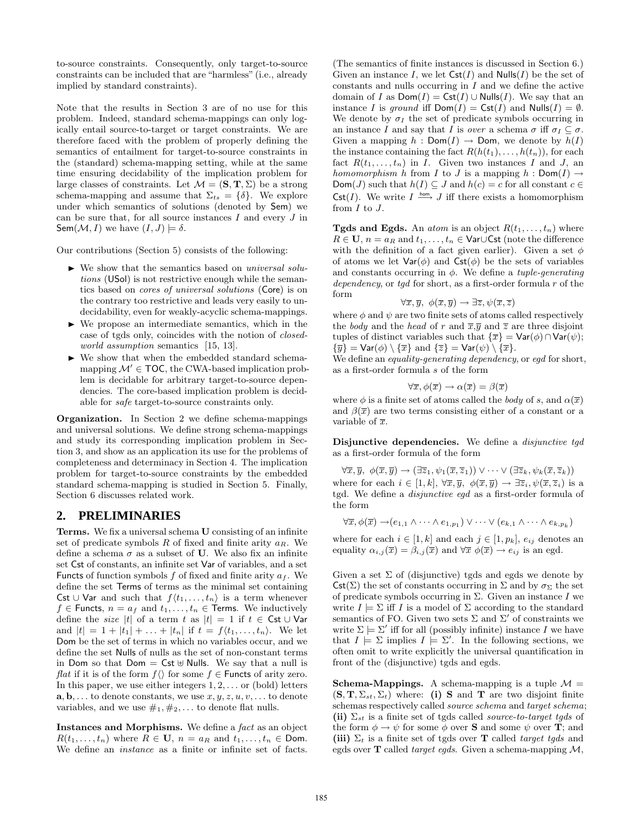to-source constraints. Consequently, only target-to-source constraints can be included that are "harmless" (i.e., already implied by standard constraints).

Note that the results in Section 3 are of no use for this problem. Indeed, standard schema-mappings can only logically entail source-to-target or target constraints. We are therefore faced with the problem of properly defining the semantics of entailment for target-to-source constraints in the (standard) schema-mapping setting, while at the same time ensuring decidability of the implication problem for large classes of constraints. Let  $\mathcal{M} = (\mathbf{S}, \mathbf{T}, \Sigma)$  be a strong schema-mapping and assume that  $\Sigma_{ts} = \{\delta\}$ . We explore under which semantics of solutions (denoted by Sem) we can be sure that, for all source instances  $I$  and every  $J$  in Sem $(\mathcal{M}, I)$  we have  $(I, J) \models \delta$ .

Our contributions (Section 5) consists of the following:

- We show that the semantics based on *universal solutions* (USol) is not restrictive enough while the semantics based on *cores of universal solutions* (Core) is on the contrary too restrictive and leads very easily to undecidability, even for weakly-acyclic schema-mappings.
- $\blacktriangleright$  We propose an intermediate semantics, which in the case of tgds only, coincides with the notion of *closedworld assumption* semantics [15, 13].
- $\blacktriangleright$  We show that when the embedded standard schemamapping  $\mathcal{M}' \in \mathsf{TOC}$ , the CWA-based implication problem is decidable for arbitrary target-to-source dependencies. The core-based implication problem is decidable for *safe* target-to-source constraints only.

Organization. In Section 2 we define schema-mappings and universal solutions. We define strong schema-mappings and study its corresponding implication problem in Section 3, and show as an application its use for the problems of completeness and determinacy in Section 4. The implication problem for target-to-source constraints by the embedded standard schema-mapping is studied in Section 5. Finally, Section 6 discusses related work.

## **2. PRELIMINARIES**

Terms. We fix a universal schema U consisting of an infinite set of predicate symbols  $R$  of fixed and finite arity  $a_R$ . We define a schema  $\sigma$  as a subset of **U**. We also fix an infinite set Cst of constants, an infinite set Var of variables, and a set Functs of function symbols  $f$  of fixed and finite arity  $a_f$ . We define the set Terms of terms as the minimal set containing Cst ∪ Var and such that  $f(t_1, \ldots, t_n)$  is a term whenever  $f \in$  Functs,  $n = a_f$  and  $t_1, \ldots, t_n \in$  Terms. We inductively define the *size* |t| of a term t as  $|t| = 1$  if  $t \in \mathsf{Cst} \cup \mathsf{Var}$ and  $|t| = 1 + |t_1| + \ldots + |t_n|$  if  $t = f(t_1, \ldots, t_n)$ . We let Dom be the set of terms in which no variables occur, and we define the set Nulls of nulls as the set of non-constant terms in Dom so that Dom =  $Cst \oplus Nulls$ . We say that a null is *flat* if it is of the form  $f(\)$  for some  $f \in$  Functs of arity zero. In this paper, we use either integers  $1, 2, \ldots$  or (bold) letters  $\mathbf{a}, \mathbf{b}, \ldots$  to denote constants, we use  $x, y, z, u, v, \ldots$  to denote variables, and we use  $\#_1, \#_2, \ldots$  to denote flat nulls.

Instances and Morphisms. We define a *fact* as an object  $R(t_1,\ldots,t_n)$  where  $R \in \mathbf{U}$ ,  $n = a_R$  and  $t_1,\ldots,t_n \in \mathsf{Dom}$ . We define an *instance* as a finite or infinite set of facts.

(The semantics of finite instances is discussed in Section 6.) Given an instance I, we let  $\mathsf{Cst}(I)$  and  $\mathsf{Nulls}(I)$  be the set of constants and nulls occurring in  $I$  and we define the active domain of I as  $Dom(I) = \text{Cst}(I) \cup Nulls(I)$ . We say that an instance I is *ground* iff  $Dom(I) = \text{Cst}(I)$  and  $Nulls(I) = \emptyset$ . We denote by  $\sigma_I$  the set of predicate symbols occurring in an instance I and say that I is *over* a schema  $\sigma$  iff  $\sigma_I \subseteq \sigma$ . Given a mapping  $h : Dom(I) \to Dom$ , we denote by  $h(I)$ the instance containing the fact  $R(h(t_1), \ldots, h(t_n))$ , for each fact  $R(t_1, \ldots, t_n)$  in I. Given two instances I and J, an *homomorphism* h from I to J is a mapping  $h : Dom(I) \rightarrow$  $Dom(J)$  such that  $h(I) \subseteq J$  and  $h(c) = c$  for all constant  $c \in$  $\mathsf{Cst}(I)$ . We write  $I \stackrel{\mathsf{hom}}{\longrightarrow} J$  iff there exists a homomorphism from  $I$  to  $J$ .

**Tgds and Egds.** An *atom* is an object  $R(t_1, \ldots, t_n)$  where  $R \in U$ ,  $n = a_R$  and  $t_1, \ldots, t_n \in \text{Var} \cup \text{Cst}$  (note the difference with the definition of a fact given earlier). Given a set  $\phi$ of atoms we let  $\text{Var}(\phi)$  and  $\text{Cst}(\phi)$  be the sets of variables and constants occurring in φ. We define a *tuple-generating dependency*, or *tgd* for short, as a first-order formula r of the form

$$
\forall \overline{x}, \overline{y}, \phi(\overline{x}, \overline{y}) \rightarrow \exists \overline{z}, \psi(\overline{x}, \overline{z})
$$

where  $\phi$  and  $\psi$  are two finite sets of atoms called respectively the *body* and the *head* of r and  $\overline{x}, \overline{y}$  and  $\overline{z}$  are three disjoint tuples of distinct variables such that  $\{\overline{x}\} = \text{Var}(\phi) \cap \text{Var}(\psi);$  $\{\overline{y}\}$  = Var( $\phi$ ) \  $\{\overline{x}\}$  and  $\{\overline{z}\}$  = Var( $\psi$ ) \  $\{\overline{x}\}$ .

We define an *equality-generating dependency*, or *egd* for short, as a first-order formula s of the form

$$
\forall \overline{x}, \phi(\overline{x}) \rightarrow \alpha(\overline{x}) = \beta(\overline{x})
$$

where  $\phi$  is a finite set of atoms called the *body* of s, and  $\alpha(\bar{x})$ and  $\beta(\bar{x})$  are two terms consisting either of a constant or a variable of  $\overline{x}$ .

Disjunctive dependencies. We define a *disjunctive tgd* as a first-order formula of the form

 $\forall \overline{x}, \overline{y}, \phi(\overline{x}, \overline{y}) \rightarrow (\exists \overline{z}_1, \psi_1(\overline{x}, \overline{z}_1)) \vee \cdots \vee (\exists \overline{z}_k, \psi_k(\overline{x}, \overline{z}_k))$ where for each  $i \in [1, k], \forall \overline{x}, \overline{y}, \phi(\overline{x}, \overline{y}) \rightarrow \exists \overline{z}_i, \psi(\overline{x}, \overline{z}_i)$  is a tgd. We define a *disjunctive egd* as a first-order formula of the form

$$
\forall \overline{x}, \phi(\overline{x}) \rightarrow (e_{1,1} \land \cdots \land e_{1,p_1}) \lor \cdots \lor (e_{k,1} \land \cdots \land e_{k,p_k})
$$

where for each  $i \in [1, k]$  and each  $j \in [1, p_k]$ ,  $e_{ij}$  denotes an equality  $\alpha_{i,j}(\overline{x}) = \beta_{i,j}(\overline{x})$  and  $\forall \overline{x} \phi(\overline{x}) \rightarrow e_{ij}$  is an egd.

Given a set  $\Sigma$  of (disjunctive) tgds and egds we denote by  $\mathsf{Cst}(\Sigma)$  the set of constants occurring in  $\Sigma$  and by  $\sigma_{\Sigma}$  the set of predicate symbols occurring in  $\Sigma$ . Given an instance I we write  $I \models \Sigma$  iff I is a model of  $\Sigma$  according to the standard semantics of FO. Given two sets  $\Sigma$  and  $\Sigma'$  of constraints we write  $\Sigma \models \Sigma'$  iff for all (possibly infinite) instance I we have that  $I \models \Sigma$  implies  $I \models \Sigma'$ . In the following sections, we often omit to write explicitly the universal quantification in front of the (disjunctive) tgds and egds.

**Schema-Mappings.** A schema-mapping is a tuple  $M =$  $(\mathbf{S}, \mathbf{T}, \Sigma_{st}, \Sigma_t)$  where: (i) S and T are two disjoint finite schemas respectively called *source schema* and *target schema*; (ii)  $\Sigma_{st}$  is a finite set of tgds called *source-to-target tgds* of the form  $\phi \to \psi$  for some  $\phi$  over **S** and some  $\psi$  over **T**; and (iii)  $\Sigma_t$  is a finite set of tgds over **T** called *target tgds* and egds over T called *target egds*. Given a schema-mapping M,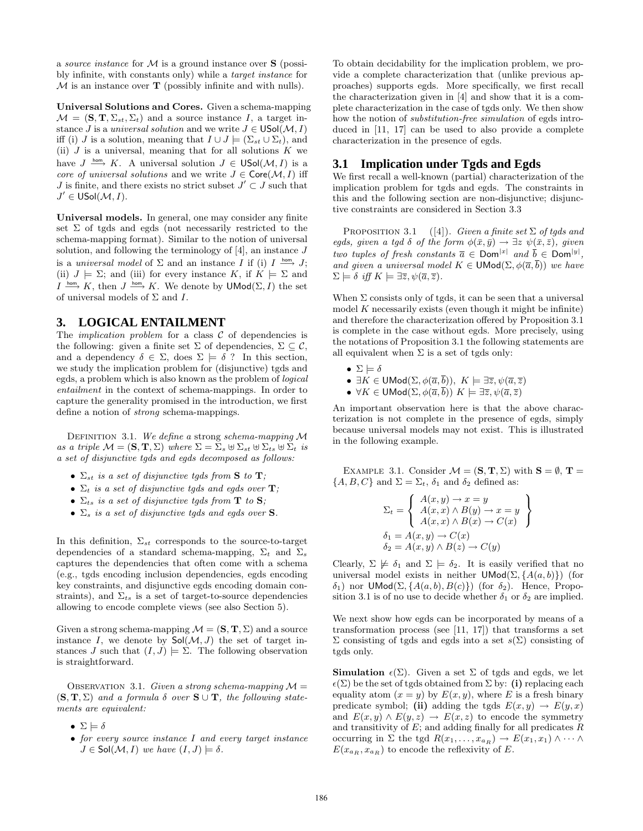a *source instance* for M is a ground instance over S (possibly infinite, with constants only) while a *target instance* for  $M$  is an instance over  $T$  (possibly infinite and with nulls).

Universal Solutions and Cores. Given a schema-mapping  $\mathcal{M} = (\mathbf{S}, \mathbf{T}, \Sigma_{st}, \Sigma_t)$  and a source instance I, a target instance *J* is a *universal solution* and we write  $J \in \mathsf{USol}(\mathcal{M}, I)$ iff (i) J is a solution, meaning that  $I \cup J \models (\Sigma_{st} \cup \Sigma_t)$ , and (ii)  $J$  is a universal, meaning that for all solutions  $K$  we have  $J \stackrel{\text{hom}}{\longrightarrow} K$ . A universal solution  $J \in \mathsf{USol}(\mathcal{M}, I)$  is a *core of universal solutions* and we write  $J \in \text{Core}(\mathcal{M}, I)$  iff J is finite, and there exists no strict subset  $J' \subset J$  such that  $J' \in \mathsf{USol}(\mathcal{M}, I).$ 

Universal models. In general, one may consider any finite set  $\Sigma$  of tgds and egds (not necessarily restricted to the schema-mapping format). Similar to the notion of universal solution, and following the terminology of  $[4]$ , an instance  $J$ is a *universal model* of  $\Sigma$  and an instance I if (i) I  $\stackrel{\text{hom}}{\longrightarrow} J$ ; (ii)  $J \models \Sigma$ ; and (iii) for every instance K, if  $K \models \Sigma$  and  $I \stackrel{\text{hom}}{\longrightarrow} K$ , then  $J \stackrel{\text{hom}}{\longrightarrow} K$ . We denote by  $\mathsf{UMod}(\Sigma, I)$  the set of universal models of  $\Sigma$  and  $I$ .

## **3. LOGICAL ENTAILMENT**

The *implication problem* for a class  $C$  of dependencies is the following: given a finite set  $\Sigma$  of dependencies,  $\Sigma \subset \mathcal{C}$ , and a dependency  $\delta \in \Sigma$ , does  $\Sigma \models \delta$ ? In this section, we study the implication problem for (disjunctive) tgds and egds, a problem which is also known as the problem of *logical entailment* in the context of schema-mappings. In order to capture the generality promised in the introduction, we first define a notion of *strong* schema-mappings.

Definition 3.1. *We define a* strong *schema-mapping* M *as a triple*  $\mathcal{M} = (\mathbf{S}, \mathbf{T}, \Sigma)$  *where*  $\Sigma = \Sigma_s \boxplus \Sigma_{st} \boxplus \Sigma_{ts} \boxplus \Sigma_t$  *is a set of disjunctive tgds and egds decomposed as follows:*

- $\Sigma_{st}$  *is a set of disjunctive tgds from* **S** *to* **T**;
- $\Sigma_t$  *is a set of disjunctive tgds and egds over* **T**;
- $\Sigma_{ts}$  *is a set of disjunctive tgds from* **T** *to* **S***;*
- $\Sigma_s$  *is a set of disjunctive tgds and egds over* **S***.*

In this definition,  $\Sigma_{st}$  corresponds to the source-to-target dependencies of a standard schema-mapping,  $\Sigma_t$  and  $\Sigma_s$ captures the dependencies that often come with a schema (e.g., tgds encoding inclusion dependencies, egds encoding key constraints, and disjunctive egds encoding domain constraints), and  $\Sigma_{ts}$  is a set of target-to-source dependencies allowing to encode complete views (see also Section 5).

Given a strong schema-mapping  $\mathcal{M} = (\mathbf{S}, \mathbf{T}, \Sigma)$  and a source instance I, we denote by  $\mathsf{Sol}(\mathcal{M},J)$  the set of target instances J such that  $(I, J) \models \Sigma$ . The following observation is straightforward.

OBSERVATION 3.1. *Given a strong schema-mapping*  $M =$  $(S, T, \Sigma)$  *and a formula*  $\delta$  *over*  $S \cup T$ *, the following statements are equivalent:*

- $\Sigma \models \delta$
- *for every source instance* I *and every target instance*  $J \in Sol(\mathcal{M}, I)$  *we have*  $(I, J) \models \delta$ .

To obtain decidability for the implication problem, we provide a complete characterization that (unlike previous approaches) supports egds. More specifically, we first recall the characterization given in [4] and show that it is a complete characterization in the case of tgds only. We then show how the notion of *substitution-free simulation* of egds introduced in [11, 17] can be used to also provide a complete characterization in the presence of egds.

## **3.1 Implication under Tgds and Egds**

We first recall a well-known (partial) characterization of the implication problem for tgds and egds. The constraints in this and the following section are non-disjunctive; disjunctive constraints are considered in Section 3.3

Proposition 3.1 ([4]). *Given a finite set* Σ *of tgds and egds, given a tgd*  $\delta$  *of the form*  $\phi(\bar{x}, \bar{y}) \rightarrow \exists z \ \psi(\bar{x}, \bar{z})$ *, given two tuples of fresh constants*  $\overline{a} \in \text{Dom}^{|x|}$  and  $\overline{b} \in \text{Dom}^{|y|}$ , *and given a universal model*  $K \in \mathsf{UMod}(\Sigma, \phi(\overline{a}, \overline{b}))$  *we have*  $\Sigma \models \delta$  *iff*  $K \models \exists \overline{z}, \psi(\overline{a}, \overline{z})$ *.* 

When  $\Sigma$  consists only of tgds, it can be seen that a universal model  $K$  necessarily exists (even though it might be infinite) and therefore the characterization offered by Proposition 3.1 is complete in the case without egds. More precisely, using the notations of Proposition 3.1 the following statements are all equivalent when  $\Sigma$  is a set of tgds only:

$$
\bullet\ \Sigma \models \delta
$$

- $\exists K \in \mathsf{UMod}(\Sigma, \phi(\overline{a}, \overline{b})), K \models \exists \overline{z}, \psi(\overline{a}, \overline{z})$
- $\forall K \in \mathsf{UMod}(\Sigma, \phi(\overline{a}, \overline{b})) \; K \models \exists \overline{z}, \psi(\overline{a}, \overline{z})$

88.88.88

An important observation here is that the above characterization is not complete in the presence of egds, simply because universal models may not exist. This is illustrated in the following example.

EXAMPLE 3.1. Consider  $\mathcal{M} = (\mathbf{S}, \mathbf{T}, \Sigma)$  with  $\mathbf{S} = \emptyset$ ,  $\mathbf{T} =$  $\{A, B, C\}$  and  $\Sigma = \Sigma_t$ ,  $\delta_1$  and  $\delta_2$  defined as:

$$
\Sigma_t = \begin{cases}\nA(x, y) \to x = y \\
A(x, x) \land B(y) \to x = y \\
A(x, x) \land B(x) \to C(x)\n\end{cases}
$$
\n
$$
\delta_1 = A(x, y) \to C(x)
$$
\n
$$
\delta_2 = A(x, y) \land B(z) \to C(y)
$$

Clearly,  $\Sigma \not\models \delta_1$  and  $\Sigma \models \delta_2$ . It is easily verified that no universal model exists in neither  $\mathsf{UMod}(\Sigma, \{A(a, b)\})$  (for δ<sub>1</sub>) nor UMod(Σ, { $A(a, b), B(c)$ }) (for δ<sub>2</sub>). Hence, Proposition 3.1 is of no use to decide whether  $\delta_1$  or  $\delta_2$  are implied.

We next show how egds can be incorporated by means of a transformation process (see [11, 17]) that transforms a set  $\Sigma$  consisting of tgds and egds into a set  $s(\Sigma)$  consisting of tgds only.

**Simulation**  $\epsilon(\Sigma)$ . Given a set  $\Sigma$  of tgds and egds, we let  $\epsilon(\Sigma)$  be the set of tgds obtained from  $\Sigma$  by: (i) replacing each equality atom  $(x = y)$  by  $E(x, y)$ , where E is a fresh binary predicate symbol; (ii) adding the tgds  $E(x, y) \rightarrow E(y, x)$ and  $E(x, y) \wedge E(y, z) \rightarrow E(x, z)$  to encode the symmetry and transitivity of  $E$ ; and adding finally for all predicates  $R$ occurring in  $\Sigma$  the tgd  $R(x_1, \ldots, x_{a_R}) \to E(x_1, x_1) \wedge \cdots \wedge$  $E(x_{a_R}, x_{a_R})$  to encode the reflexivity of E.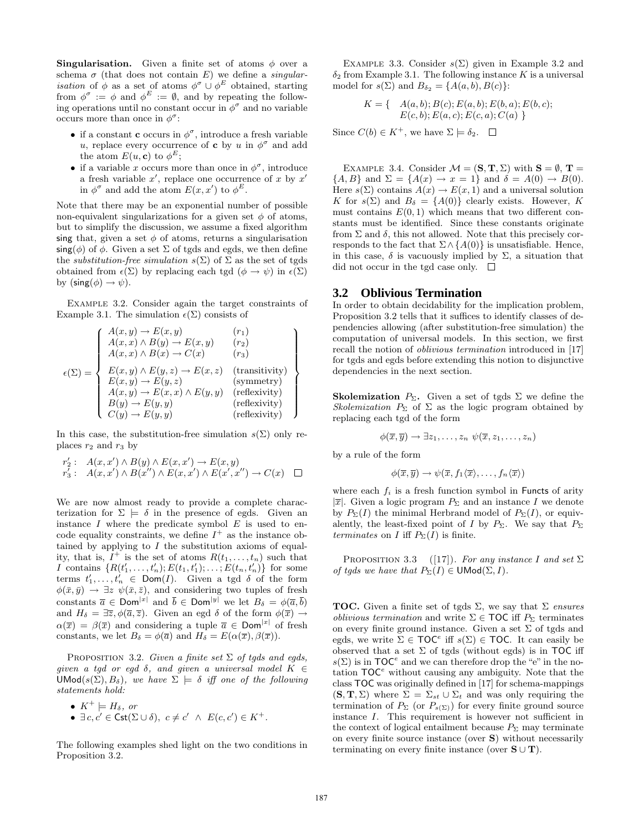**Singularisation.** Given a finite set of atoms  $\phi$  over a schema  $\sigma$  (that does not contain E) we define a *singularisation* of  $\phi$  as a set of atoms  $\phi^{\sigma} \cup \phi^E$  obtained, starting from  $\phi^{\sigma} := \phi$  and  $\phi^{E} := \emptyset$ , and by repeating the following operations until no constant occur in  $\phi^{\sigma}$  and no variable occurs more than once in  $\phi^{\sigma}$ :

- if a constant **c** occurs in  $\phi^{\sigma}$ , introduce a fresh variable u, replace every occurrence of **c** by u in  $\phi^{\sigma}$  and add the atom  $E(u, c)$  to  $\phi^E$ ;
- if a variable x occurs more than once in  $\phi^{\sigma}$ , introduce a fresh variable  $x'$ , replace one occurrence of x by  $x'$ in  $\phi^{\sigma}$  and add the atom  $E(x, x')$  to  $\phi^{E}$ .

Note that there may be an exponential number of possible non-equivalent singularizations for a given set  $\phi$  of atoms, but to simplify the discussion, we assume a fixed algorithm sing that, given a set  $\phi$  of atoms, returns a singularisation  $\mathsf{sing}(\phi)$  of  $\phi$ . Given a set  $\Sigma$  of tgds and egds, we then define the *substitution-free simulation*  $s(\Sigma)$  of  $\Sigma$  as the set of tgds obtained from  $\epsilon(\Sigma)$  by replacing each tgd  $(\phi \to \psi)$  in  $\epsilon(\Sigma)$ by  $(\textsf{sing}(\phi) \rightarrow \psi)$ .

Example 3.2. Consider again the target constraints of Example 3.1. The simulation  $\epsilon(\Sigma)$  consists of

$$
\epsilon(\Sigma) = \left\{ \begin{array}{ll} A(x, y) \rightarrow E(x, y) & (r_1) \\ A(x, x) \land B(y) \rightarrow E(x, y) & (r_2) \\ A(x, x) \land B(x) \rightarrow C(x) & (r_3) \\ E(x, y) \land E(y, z) \rightarrow E(x, z) & \text{(transitivity)} \\ E(x, y) \rightarrow E(y, z) & \text{(symmetry)} \\ A(x, y) \rightarrow E(x, x) \land E(y, y) & \text{(reflexivity)} \\ B(y) \rightarrow E(y, y) & \text{(reflexivity)} \\ C(y) \rightarrow E(y, y) & \text{(reflexivity)} \end{array} \right\}
$$

In this case, the substitution-free simulation  $s(\Sigma)$  only replaces  $r_2$  and  $r_3$  by

$$
r'_2: A(x, x') \wedge B(y) \wedge E(x, x') \rightarrow E(x, y)
$$
  
\n
$$
r'_3: A(x, x') \wedge B(x'') \wedge E(x, x') \wedge E(x', x'') \rightarrow C(x) \square
$$

We are now almost ready to provide a complete characterization for  $\Sigma \models \delta$  in the presence of egds. Given an instance  $I$  where the predicate symbol  $E$  is used to encode equality constraints, we define  $I^+$  as the instance obtained by applying to  $I$  the substitution axioms of equality, that is,  $I^+$  is the set of atoms  $R(t_1, \ldots, t_n)$  such that *I* contains  $\{R(t'_1, \ldots, t'_n); E(t_1, t'_1); \ldots; E(t_n, t'_n)\}$  for some terms  $t'_1, \ldots, t'_n \in \text{Dom}(I)$ . Given a tgd  $\delta$  of the form  $\phi(\bar{x}, \bar{y}) \rightarrow \exists z \psi(\bar{x}, \bar{z}),$  and considering two tuples of fresh constants  $\overline{a} \in \text{Dom}^{|x|}$  and  $\overline{b} \in \text{Dom}^{|y|}$  we let  $B_{\delta} = \phi(\overline{a}, \overline{b})$ and  $H_{\delta} = \exists \overline{z}, \phi(\overline{a}, \overline{z})$ . Given an egd  $\delta$  of the form  $\phi(\overline{x}) \rightarrow$  $\alpha(\bar{x}) = \beta(\bar{x})$  and considering a tuple  $\bar{a} \in \text{Dom}^{|x|}$  of fresh constants, we let  $B_{\delta} = \phi(\overline{a})$  and  $H_{\delta} = E(\alpha(\overline{x}), \beta(\overline{x})).$ 

Proposition 3.2. *Given a finite set* Σ *of tgds and egds, given a tgd or egd*  $\delta$ *, and given a universal model*  $K \in$ UMod( $s(\Sigma)$ ,  $B_{\delta}$ ), we have  $\Sigma \models \delta$  *iff one of the following statements hold:*

• 
$$
K^+ \models H_\delta
$$
, or

• 
$$
\exists c, c' \in \mathsf{Cst}(\Sigma \cup \delta), c \neq c' \land E(c, c') \in K^+.
$$

The following examples shed light on the two conditions in Proposition 3.2.

EXAMPLE 3.3. Consider  $s(\Sigma)$  given in Example 3.2 and  $\delta_2$  from Example 3.1. The following instance K is a universal model for  $s(\Sigma)$  and  $B_{\delta_2} = \{A(a, b), B(c)\}\$ :

$$
K = \{ \begin{array}{c} A(a,b); B(c); E(a,b); E(b,a); E(b,c); \\ E(c,b); E(a,c); E(c,a); C(a) \end{array} \}
$$

Since  $C(b) \in K^+$ , we have  $\Sigma \models \delta_2$ .  $\square$ 

EXAMPLE 3.4. Consider  $\mathcal{M} = (\mathbf{S}, \mathbf{T}, \Sigma)$  with  $\mathbf{S} = \emptyset$ ,  $\mathbf{T} =$  $\{A, B\}$  and  $\Sigma = \{A(x) \rightarrow x = 1\}$  and  $\delta = A(0) \rightarrow B(0)$ . Here  $s(\Sigma)$  contains  $A(x) \to E(x, 1)$  and a universal solution K for  $s(\Sigma)$  and  $B_{\delta} = \{A(0)\}\)$  clearly exists. However, K must contains  $E(0, 1)$  which means that two different constants must be identified. Since these constants originate from  $\Sigma$  and  $\delta$ , this not allowed. Note that this precisely corresponds to the fact that  $\Sigma \wedge \{A(0)\}\$ is unsatisfiable. Hence, in this case,  $\delta$  is vacuously implied by  $\Sigma$ , a situation that did not occur in the tgd case only.  $\square$ 

#### **3.2 Oblivious Termination**

In order to obtain decidability for the implication problem, Proposition 3.2 tells that it suffices to identify classes of dependencies allowing (after substitution-free simulation) the computation of universal models. In this section, we first recall the notion of *oblivious termination* introduced in [17] for tgds and egds before extending this notion to disjunctive dependencies in the next section.

**Skolemization**  $P_{\Sigma}$ . Given a set of tgds  $\Sigma$  we define the *Skolemization*  $P_{\Sigma}$  of  $\Sigma$  as the logic program obtained by replacing each tgd of the form

$$
\phi(\overline{x},\overline{y}) \to \exists z_1,\ldots,z_n \ \psi(\overline{x},z_1,\ldots,z_n)
$$

by a rule of the form

$$
\phi(\overline{x}, \overline{y}) \rightarrow \psi(\overline{x}, f_1\langle \overline{x}\rangle, \ldots, f_n\langle \overline{x}\rangle)
$$

where each  $f_i$  is a fresh function symbol in Functs of arity  $|\overline{x}|$ . Given a logic program  $P_{\Sigma}$  and an instance I we denote by  $P_{\Sigma}(I)$  the minimal Herbrand model of  $P_{\Sigma}(I)$ , or equivalently, the least-fixed point of I by  $P_{\Sigma}$ . We say that  $P_{\Sigma}$ *terminates* on *I* iff  $P_{\Sigma}(I)$  is finite.

PROPOSITION 3.3 ([17]). *For any instance* I and set  $\Sigma$ *of tgds we have that*  $P_{\Sigma}(I) \in \mathsf{UMod}(\Sigma, I)$ *.* 

TOC. Given a finite set of tgds Σ, we say that Σ *ensures oblivious termination* and write  $\Sigma \in \text{TOC}$  iff  $P_{\Sigma}$  terminates on every finite ground instance. Given a set  $\Sigma$  of tgds and egds, we write  $\Sigma \in \text{TOC}^e$  iff  $s(\Sigma) \in \text{TOC}$ . It can easily be observed that a set  $\Sigma$  of tgds (without egds) is in TOC iff  $s(\Sigma)$  is in TOC<sup>e</sup> and we can therefore drop the "e" in the notation  $\mathsf{TOC}^e$  without causing any ambiguity. Note that the class TOC was originally defined in [17] for schema-mappings  $(\mathbf{S}, \mathbf{T}, \Sigma)$  where  $\Sigma = \Sigma_{st} \cup \Sigma_t$  and was only requiring the termination of  $P_{\Sigma}$  (or  $P_{s(\Sigma)}$ ) for every finite ground source instance I. This requirement is however not sufficient in the context of logical entailment because  $P_{\Sigma}$  may terminate on every finite source instance (over S) without necessarily terminating on every finite instance (over  $S \cup T$ ).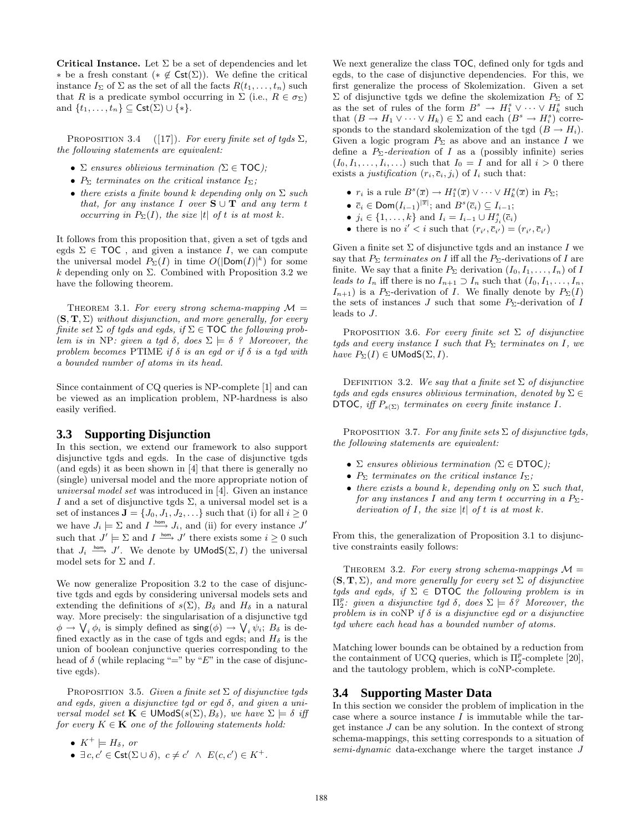Critical Instance. Let  $\Sigma$  be a set of dependencies and let ∗ be a fresh constant (\* ∉  $\mathsf{Cst}(\Sigma)$ ). We define the critical instance  $I_{\Sigma}$  of  $\Sigma$  as the set of all the facts  $R(t_1, \ldots, t_n)$  such that R is a predicate symbol occurring in  $\Sigma$  (i.e.,  $R \in \sigma_{\Sigma}$ ) and  $\{t_1, \ldots, t_n\} \subseteq \mathsf{Cst}(\Sigma) \cup \{*\}.$ 

PROPOSITION 3.4  $([17])$ . *For every finite set of tgds*  $\Sigma$ *, the following statements are equivalent:*

- Σ *ensures oblivious termination (*Σ ∈ TOC*);*
- $P_{\Sigma}$  *terminates on the critical instance*  $I_{\Sigma}$ *;*
- *there exists a finite bound* k *depending only on* Σ *such that, for any instance* I *over*  $S \cup T$  *and any term t occurring in*  $P_{\Sigma}(I)$ *, the size* |t| *of t is at most* k.

It follows from this proposition that, given a set of tgds and egds  $\Sigma \in \text{TOC}$ , and given a instance I, we can compute the universal model  $P_{\Sigma}(I)$  in time  $O(|\textsf{Dom}(I)|^k)$  for some k depending only on  $\Sigma$ . Combined with Proposition 3.2 we have the following theorem.

THEOREM 3.1. For every strong schema-mapping  $\mathcal{M} =$ (S, T, Σ) *without disjunction, and more generally, for every finite set*  $\Sigma$  *of tgds and egds, if*  $\Sigma \in \text{TOC}$  *the following problem is in* NP*: given a tgd*  $\delta$ *, does*  $\Sigma \models \delta$  *? Moreover, the problem becomes* PTIME *if* δ *is an egd or if* δ *is a tgd with a bounded number of atoms in its head.*

Since containment of CQ queries is NP-complete [1] and can be viewed as an implication problem, NP-hardness is also easily verified.

## **3.3 Supporting Disjunction**

In this section, we extend our framework to also support disjunctive tgds and egds. In the case of disjunctive tgds (and egds) it as been shown in [4] that there is generally no (single) universal model and the more appropriate notion of *universal model set* was introduced in [4]. Given an instance  $I$  and a set of disjunctive tgds  $\Sigma,$  a universal model set is a set of instances  $J = \{J_0, J_1, J_2, \ldots\}$  such that (i) for all  $i \geq 0$ we have  $J_i \models \Sigma$  and  $I \stackrel{\text{hom}}{\longrightarrow} J_i$ , and (ii) for every instance  $J'$ such that  $J' \models \Sigma$  and  $I \stackrel{\text{hom}}{\longrightarrow} J'$  there exists some  $i \geq 0$  such that  $J_i \stackrel{\text{hom}}{\longrightarrow} J'$ . We denote by **UModS**( $\Sigma, I$ ) the universal model sets for  $\Sigma$  and  $I$ .

We now generalize Proposition 3.2 to the case of disjunctive tgds and egds by considering universal models sets and extending the definitions of  $s(\Sigma)$ ,  $B_{\delta}$  and  $H_{\delta}$  in a natural way. More precisely: the singularisation of a disjunctive tgd  $\phi \to \bigvee_i \phi_i$  is simply defined as  $\mathsf{sing}(\phi) \to \bigvee_i \psi_i$ ;  $B_\delta$  is defined exactly as in the case of tgds and egds; and  $H_\delta$  is the union of boolean conjunctive queries corresponding to the head of  $\delta$  (while replacing "=" by "E" in the case of disjunctive egds).

Proposition 3.5. *Given a finite set* Σ *of disjunctive tgds and egds, given a disjunctive tgd or egd* δ*, and given a universal model set*  $\mathbf{K} \in \mathsf{UModS}(s(\Sigma), B_{\delta})$ *, we have*  $\Sigma \models \delta$  *iff for every*  $K \in \mathbf{K}$  *one of the following statements hold:* 

•  $K^+ \models H_\delta$ *, or* 

•  $\exists c, c' \in \mathsf{Cst}(\Sigma \cup \delta), c \neq c' \land E(c, c') \in K^+$ .

We next generalize the class TOC, defined only for tgds and egds, to the case of disjunctive dependencies. For this, we first generalize the process of Skolemization. Given a set  $\Sigma$  of disjunctive tgds we define the skolemization  $P_{\Sigma}$  of  $\Sigma$ as the set of rules of the form  $B^s \to H_1^s \vee \cdots \vee H_k^s$  such that  $(B \to H_1 \lor \cdots \lor H_k) \in \Sigma$  and each  $(B^s \to H_i^s)$  corresponds to the standard skolemization of the tgd  $(B \to H_i)$ . Given a logic program  $P_{\Sigma}$  as above and an instance I we define a  $P_{\Sigma}$ -*derivation* of I as a (possibly infinite) series  $(I_0, I_1, \ldots, I_i, \ldots)$  such that  $I_0 = I$  and for all  $i > 0$  there exists a *justification*  $(r_i, \overline{c}_i, j_i)$  of  $I_i$  such that:

- $r_i$  is a rule  $B^s(\overline{x}) \to H_1^s(\overline{x}) \vee \cdots \vee H_k^s(\overline{x})$  in  $P_{\Sigma}$ ;
- $\bar{c}_i \in \text{Dom}(I_{i-1})^{|\bar{x}|}$ ; and  $B^s(\bar{c}_i) \subseteq I_{i-1}$ ;
- $j_i \in \{1, ..., k\}$  and  $I_i = I_{i-1} \cup H_{j_i}^s(\overline{c}_i)$
- there is no  $i' < i$  such that  $(r_{i'}, \overline{c}_{i'}) = (r_{i'}, \overline{c}_{i'})$

Given a finite set  $\Sigma$  of disjunctive tgds and an instance I we say that  $P_{\Sigma}$  *terminates on* I iff all the  $P_{\Sigma}$ -derivations of I are finite. We say that a finite  $P_{\Sigma}$  derivation  $(I_0, I_1, \ldots, I_n)$  of I *leads to*  $I_n$  iff there is no  $I_{n+1} \supset I_n$  such that  $(I_0, I_1, \ldots, I_n,$  $I_{n+1}$ ) is a P<sub>Σ</sub>-derivation of I. We finally denote by  $P_{\Sigma}(I)$ the sets of instances J such that some  $P_{\Sigma}$ -derivation of I leads to J.

PROPOSITION 3.6. For every finite set  $\Sigma$  of disjunctive *tgds and every instance* I *such that*  $P_{\Sigma}$  *terminates on* I, we *have*  $P_{\Sigma}(I) \in \mathsf{UModS}(\Sigma, I)$ *.* 

DEFINITION 3.2. *We say that a finite set*  $\Sigma$  *of disjunctive tgds and egds ensures oblivious termination, denoted by* Σ ∈ DTOC, iff  $P_{s(\Sigma)}$  terminates on every finite instance I.

Proposition 3.7. *For any finite sets* Σ *of disjunctive tgds, the following statements are equivalent:*

- Σ *ensures oblivious termination (*Σ ∈ DTOC*);*
- $P_{\Sigma}$  *terminates on the critical instance*  $I_{\Sigma}$ *;*
- *there exists a bound k, depending only on*  $\Sigma$  *such that, for any instances* I and any term t *occurring in a*  $P_{\Sigma}$ *derivation of* I*, the size* |t| *of* t *is at most* k*.*

From this, the generalization of Proposition 3.1 to disjunctive constraints easily follows:

THEOREM 3.2. For every strong schema-mappings  $\mathcal{M} =$  $(\mathbf{S}, \mathbf{T}, \Sigma)$ *, and more generally for every set*  $\Sigma$  *of disjunctive tgds and egds, if* Σ ∈ DTOC *the following problem is in*  $\Pi_2^p$ : given a disjunctive tgd δ, does  $\Sigma \models \delta$ ? Moreover, the *problem is in* coNP *if* δ *is a disjunctive egd or a disjunctive tgd where each head has a bounded number of atoms.*

Matching lower bounds can be obtained by a reduction from the containment of UCQ queries, which is  $\Pi_2^p$ -complete [20], and the tautology problem, which is coNP-complete.

#### **3.4 Supporting Master Data**

In this section we consider the problem of implication in the case where a source instance  $I$  is immutable while the target instance J can be any solution. In the context of strong schema-mappings, this setting corresponds to a situation of *semi-dynamic* data-exchange where the target instance J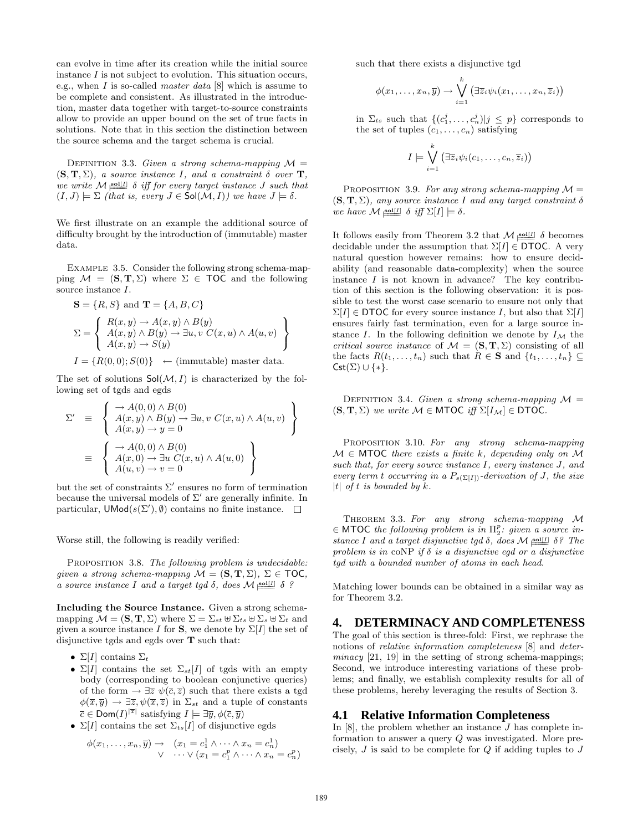can evolve in time after its creation while the initial source instance  $I$  is not subject to evolution. This situation occurs, e.g., when I is so-called *master data* [8] which is assume to be complete and consistent. As illustrated in the introduction, master data together with target-to-source constraints allow to provide an upper bound on the set of true facts in solutions. Note that in this section the distinction between the source schema and the target schema is crucial.

DEFINITION 3.3. *Given a strong schema-mapping*  $M =$  $(S, T, \Sigma)$ *, a source instance I, and a constraint*  $\delta$  *over* **T***, we write*  $M \underline{1}$  [*ii*] δ *iff for every target instance J such that*  $(I, J) \models \Sigma$  *(that is, every*  $J \in Sol(M, I)$ *) we have*  $J \models \delta$ *.* 

We first illustrate on an example the additional source of difficulty brought by the introduction of (immutable) master data.

EXAMPLE 3.5. Consider the following strong schema-mapping  $\mathcal{M} = (\mathbf{S}, \mathbf{T}, \Sigma)$  where  $\Sigma \in \mathsf{TOC}$  and the following source instance I.

$$
\mathbf{S} = \{R, S\} \text{ and } \mathbf{T} = \{A, B, C\}
$$

$$
\Sigma = \left\{ \begin{array}{l} R(x, y) \rightarrow A(x, y) \land B(y) \\ A(x, y) \land B(y) \rightarrow \exists u, v \ C(x, u) \land A(u, v) \\ A(x, y) \rightarrow S(y) \end{array} \right\}
$$

 $I = \{R(0,0); S(0)\}\longmapsto$  (immutable) master data.

The set of solutions  $Sol(M, I)$  is characterized by the following set of tgds and egds

$$
\Sigma' \equiv \left\{ \begin{array}{l} \rightarrow A(0,0) \land B(0) \\ A(x,y) \land B(y) \rightarrow \exists u, v \ C(x,u) \land A(u,v) \\ A(x,y) \rightarrow y = 0 \end{array} \right\}
$$
  

$$
\equiv \left\{ \begin{array}{l} \rightarrow A(0,0) \land B(0) \\ A(x,0) \rightarrow \exists u \ C(x,u) \land A(u,0) \\ A(u,v) \rightarrow v = 0 \end{array} \right\}
$$

but the set of constraints  $\Sigma'$  ensures no form of termination because the universal models of  $\Sigma'$  are generally infinite. In particular,  $\mathsf{UMod}(s(\Sigma'), \emptyset)$  contains no finite instance.

Worse still, the following is readily verified:

Proposition 3.8. *The following problem is undecidable: given a strong schema-mapping*  $M = (\mathbf{S}, \mathbf{T}, \Sigma)$ ,  $\Sigma \in \text{TOC}$ , *a* source instance I and a target tgd  $\delta$ , does  $\mathcal{M}$  soll[I]  $\delta$  ?

Including the Source Instance. Given a strong schemamapping  $\mathcal{M} = (\mathbf{S}, \mathbf{T}, \Sigma)$  where  $\Sigma = \Sigma_{st} \boxplus \Sigma_{ts} \boxplus \Sigma_s \boxplus \Sigma_t$  and given a source instance I for **S**, we denote by  $\Sigma[I]$  the set of disjunctive tgds and egds over T such that:

- Σ[I] contains  $\Sigma_t$
- $\Sigma[I]$  contains the set  $\Sigma_{st}[I]$  of tgds with an empty body (corresponding to boolean conjunctive queries) of the form  $\rightarrow \exists \overline{z} \ \psi(\overline{c}, \overline{z})$  such that there exists a tgd  $\phi(\overline{x}, \overline{y}) \to \exists \overline{z}, \psi(\overline{x}, \overline{z})$  in  $\Sigma_{st}$  and a tuple of constants  $\overline{c} \in \textsf{Dom}(I)^{|\overline{x}|}$  satisfying  $I \models \exists \overline{y}, \phi(\overline{c}, \overline{y})$
- $\Sigma[I]$  contains the set  $\Sigma_{ts}[I]$  of disjunctive egds

$$
\begin{array}{rcl}\n\phi(x_1,\ldots,x_n,\overline{y}) \to & (x_1=c_1^1 \wedge \cdots \wedge x_n=c_n^1) \\
\vee & \cdots \vee (x_1=c_1^p \wedge \cdots \wedge x_n=c_n^p)\n\end{array}
$$

such that there exists a disjunctive tgd

$$
\phi(x_1,\ldots,x_n,\overline{y}) \to \bigvee_{i=1}^k \left(\exists \overline{z}_i \psi_i(x_1,\ldots,x_n,\overline{z}_i)\right)
$$

in  $\Sigma_{ts}$  such that  $\{(c_1^j, \ldots, c_n^j)|j \leq p\}$  corresponds to the set of tuples  $(c_1, \ldots, c_n)$  satisfying

$$
I \models \bigvee_{i=1}^{k} (\exists \overline{z}_i \psi_i(c_1, \ldots, c_n, \overline{z}_i))
$$

PROPOSITION 3.9. For any strong schema-mapping  $\mathcal{M} =$  $(\mathbf{S}, \mathbf{T}, \Sigma)$ *, any source instance* I and any target constraint  $\delta$ *we have*  $\mathcal{M}$  soll  $\delta$  *iff*  $\Sigma[I] \models \delta$ .

It follows easily from Theorem 3.2 that  $\mathcal{M}$  soll  $\delta$  becomes decidable under the assumption that  $\Sigma[I] \in \text{DTOC}$ . A very natural question however remains: how to ensure decidability (and reasonable data-complexity) when the source instance  $I$  is not known in advance? The key contribution of this section is the following observation: it is possible to test the worst case scenario to ensure not only that  $\Sigma[I] \in \text{DTOC}$  for every source instance I, but also that  $\Sigma[I]$ ensures fairly fast termination, even for a large source instance I. In the following definition we denote by  $I_M$  the *critical source instance* of  $\mathcal{M} = (\mathbf{S}, \mathbf{T}, \Sigma)$  consisting of all the facts  $R(t_1, \ldots, t_n)$  such that  $R \in \mathbf{S}$  and  $\{t_1, \ldots, t_n\} \subseteq$  $\mathsf{Cst}(\Sigma) \cup \{*\}.$ 

DEFINITION 3.4. *Given a strong schema-mapping*  $M =$  $(S, T, \Sigma)$  *we write*  $M \in MTOC$  *iff*  $\Sigma[I_{\mathcal{M}}] \in DTOC$ *.* 

Proposition 3.10. *For any strong schema-mapping* M ∈ MTOC *there exists a finite* k*, depending only on* M *such that, for every source instance* I*, every instance* J*, and every term t occurring in a*  $P_{s(\Sigma[I])}$ *-derivation of J, the size* |t| *of* t *is bounded by* k*.*

Theorem 3.3. *For any strong schema-mapping* M  $\in$  MTOC the following problem is in  $\Pi_2^p$ : given a source in*stance* I and a target disjunctive tgd  $\delta$ , does  $\mathcal{M}$   $\underset{\sim}{\text{sol}[I]}$   $\delta$ ? The *problem is in* coNP *if* δ *is a disjunctive egd or a disjunctive tgd with a bounded number of atoms in each head.*

Matching lower bounds can be obtained in a similar way as for Theorem 3.2.

## **4. DETERMINACY AND COMPLETENESS**

The goal of this section is three-fold: First, we rephrase the notions of *relative information completeness* [8] and *determinacy* [21, 19] in the setting of strong schema-mappings; Second, we introduce interesting variations of these problems; and finally, we establish complexity results for all of these problems, hereby leveraging the results of Section 3.

## **4.1 Relative Information Completeness**

In  $[8]$ , the problem whether an instance  $J$  has complete information to answer a query Q was investigated. More precisely,  $J$  is said to be complete for  $Q$  if adding tuples to  $J$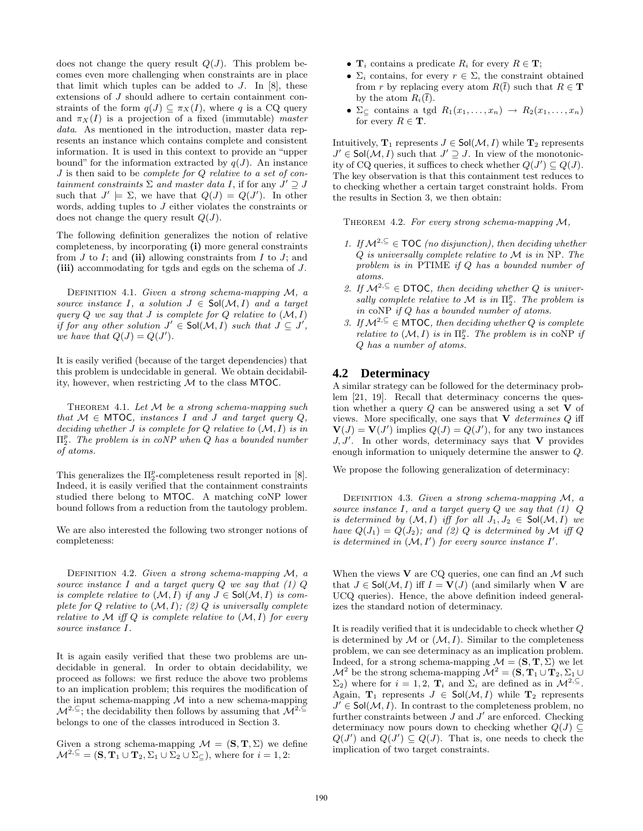does not change the query result  $Q(J)$ . This problem becomes even more challenging when constraints are in place that limit which tuples can be added to  $J$ . In [8], these extensions of J should adhere to certain containment constraints of the form  $q(J) \subseteq \pi_X(I)$ , where q is a CQ query and  $\pi_X(I)$  is a projection of a fixed (immutable) *master data*. As mentioned in the introduction, master data represents an instance which contains complete and consistent information. It is used in this context to provide an "upper bound" for the information extracted by  $q(J)$ . An instance J is then said to be *complete for* Q *relative to a set of containment constraints*  $\Sigma$  *and master data* I, if for any  $J' \supseteq J$ such that  $J' \models \Sigma$ , we have that  $Q(J) = Q(J')$ . In other words, adding tuples to J either violates the constraints or does not change the query result  $Q(J)$ .

The following definition generalizes the notion of relative completeness, by incorporating (i) more general constraints from  $J$  to  $I$ ; and (ii) allowing constraints from  $I$  to  $J$ ; and (iii) accommodating for tgds and egds on the schema of J.

Definition 4.1. *Given a strong schema-mapping* M*, a source instance* I, a *solution*  $J \in Sol(M, I)$  *and a target query* Q *we say that* J *is complete for* Q *relative to* (M, I) *if for any other solution*  $J' \in Sol(\mathcal{M}, I)$  *such that*  $J \subseteq J'$ , *we have that*  $Q(J) = Q(J')$ *.* 

It is easily verified (because of the target dependencies) that this problem is undecidable in general. We obtain decidability, however, when restricting  $M$  to the class MTOC.

Theorem 4.1. *Let* M *be a strong schema-mapping such that*  $M \in MTOC$ *, instances* I *and* J *and target query*  $Q$ *, deciding whether* J *is complete for* Q *relative to* (M, I) *is in* Π p 2 *. The problem is in coNP when* Q *has a bounded number of atoms.*

This generalizes the  $\Pi^p_2$ -completeness result reported in [8]. Indeed, it is easily verified that the containment constraints studied there belong to MTOC. A matching coNP lower bound follows from a reduction from the tautology problem.

We are also interested the following two stronger notions of completeness:

Definition 4.2. *Given a strong schema-mapping* M*, a source instance* I *and a target query* Q *we say that (1)* Q *is complete relative to*  $(M, I)$  *if any*  $J \in Sol(M, I)$  *is complete for* Q *relative to* (M, I)*; (2)* Q *is universally complete relative to*  $M$  *iff*  $Q$  *is complete relative to*  $(M, I)$  *for every source instance* I*.*

It is again easily verified that these two problems are undecidable in general. In order to obtain decidability, we proceed as follows: we first reduce the above two problems to an implication problem; this requires the modification of the input schema-mapping  $M$  into a new schema-mapping  $\mathcal{M}^{2,\subseteq}$ ; the decidability then follows by assuming that  $\mathcal{M}^{2,\subseteq}$ belongs to one of the classes introduced in Section 3.

Given a strong schema-mapping  $\mathcal{M} = (\mathbf{S}, \mathbf{T}, \Sigma)$  we define  $\mathcal{M}^{2,\subseteq} = (\mathbf{S}, \mathbf{T}_1 \cup \mathbf{T}_2, \Sigma_1 \cup \Sigma_2 \cup \Sigma_1)$ , where for  $i = 1, 2$ :

- $\mathbf{T}_i$  contains a predicate  $R_i$  for every  $R \in \mathbf{T}$ ;
- $\Sigma_i$  contains, for every  $r \in \Sigma$ , the constraint obtained from r by replacing every atom  $R(\bar{t})$  such that  $R \in \mathbf{T}$ by the atom  $R_i(\bar{t})$ .
- $\Sigma_{\subseteq}$  contains a tgd  $R_1(x_1, \ldots, x_n) \rightarrow R_2(x_1, \ldots, x_n)$ for every  $R \in \mathbf{T}$ .

Intuitively,  $\mathbf{T}_1$  represents  $J \in Sol(\mathcal{M}, I)$  while  $\mathbf{T}_2$  represents  $J' \in Sol(\mathcal{M}, I)$  such that  $J' \supseteq J$ . In view of the monotonicity of CQ queries, it suffices to check whether  $Q(J') \subseteq Q(J)$ . The key observation is that this containment test reduces to to checking whether a certain target constraint holds. From the results in Section 3, we then obtain:

Theorem 4.2. *For every strong schema-mapping* M*,*

- *1. If*  $M^{2, ⊆}$  ∈ **TOC** (no disjunction), then deciding whether Q *is universally complete relative to* M *is in* NP*. The problem is in* PTIME *if* Q *has a bounded number of atoms.*
- 2. If  $\mathcal{M}^{2,\subseteq} \in \mathsf{DTOC}$ , then deciding whether Q is universally complete relative to  $M$  is in  $\Pi_2^p$ . The problem is *in* coNP *if* Q *has a bounded number of atoms.*
- *3. If*  $M^{2, ⊆}$  ∈ **MTOC***, then deciding whether Q is complete relative to*  $(\mathcal{M}, I)$  *is in*  $\Pi_2^p$ *. The problem is in* coNP *if* Q *has a number of atoms.*

#### **4.2 Determinacy**

A similar strategy can be followed for the determinacy problem [21, 19]. Recall that determinacy concerns the question whether a query  $Q$  can be answered using a set  $V$  of views. More specifically, one says that V *determines* Q iff  $\mathbf{V}(J) = \mathbf{V}(J')$  implies  $Q(J) = Q(J')$ , for any two instances  $J, J'$ . In other words, determinacy says that V provides enough information to uniquely determine the answer to Q.

We propose the following generalization of determinacy:

Definition 4.3. *Given a strong schema-mapping* M*, a source instance* I*, and a target query* Q *we say that (1)* Q *is determined by*  $(M, I)$  *iff for all*  $J_1, J_2 \in Sol(M, I)$  *we have*  $Q(J_1) = Q(J_2)$ *; and (2) Q is determined by* M *iff* Q *is determined in*  $(M, I')$  *for every source instance*  $I'$ *.* 

When the views  ${\bf V}$  are CQ queries, one can find an  ${\mathcal M}$  such that  $J \in Sol(\mathcal{M}, I)$  iff  $I = V(J)$  (and similarly when V are UCQ queries). Hence, the above definition indeed generalizes the standard notion of determinacy.

It is readily verified that it is undecidable to check whether Q is determined by  $\mathcal M$  or  $(\mathcal M, I)$ . Similar to the completeness problem, we can see determinacy as an implication problem. Indeed, for a strong schema-mapping  $\mathcal{M} = (\mathbf{S}, \mathbf{T}, \Sigma)$  we let  $\mathcal{M}^2$  be the strong schema-mapping  $\mathcal{M}^2 = (\mathbf{S}, \mathbf{T}_1 \cup \mathbf{T}_2, \Sigma_1 \cup \mathbf{T}_2)$  $\Sigma_2$ ) where for  $i = 1, 2, \mathbf{T}_i$  and  $\Sigma_i$  are defined as in  $\mathcal{M}^{2, \subseteq}$ . Again,  $T_1$  represents  $J \in Sol(M, I)$  while  $T_2$  represents  $J' \in Sol(\mathcal{M}, I)$ . In contrast to the completeness problem, no further constraints between  $J$  and  $J'$  are enforced. Checking determinacy now pours down to checking whether  $Q(J) \subseteq$  $Q(J')$  and  $Q(J') \subseteq Q(J)$ . That is, one needs to check the implication of two target constraints.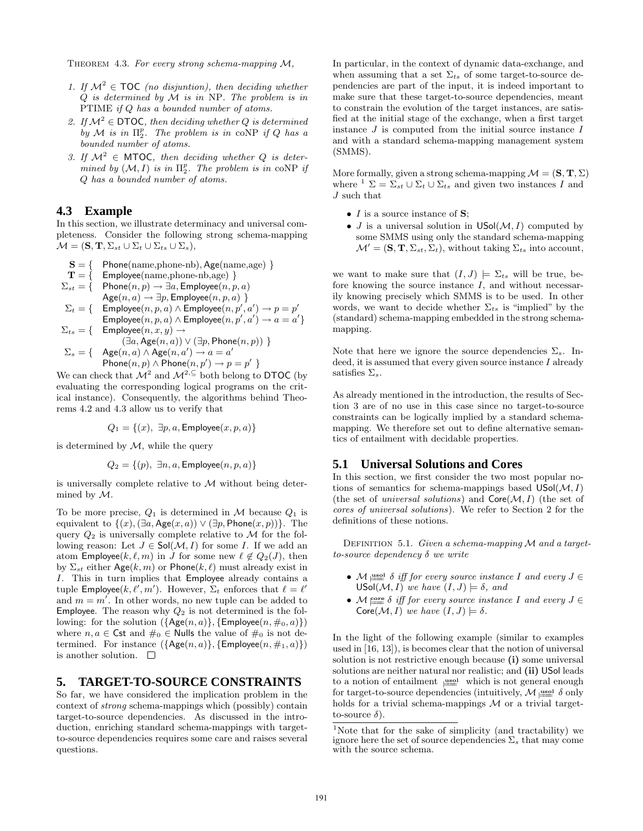Theorem 4.3. *For every strong schema-mapping* M*,*

- *1. If*  $M^2 \in \text{TOC}$  *(no disjuntion), then deciding whether* Q *is determined by* M *is in* NP*. The problem is in* PTIME *if* Q *has a bounded number of atoms.*
- *2. If*  $M^2$  ∈ DTOC, then deciding whether Q is determined  $\overline{b}y \mathcal{M}$  *is in*  $\Pi_2^p$ . The problem is in coNP if Q has a *bounded number of atoms.*
- *3.* If  $\mathcal{M}^2$  ∈ MTOC, then deciding whether Q is deter $mined$  by  $(M, I)$  *is in*  $\Pi_2^p$ . The problem is in coNP if Q *has a bounded number of atoms.*

## **4.3 Example**

In this section, we illustrate determinacy and universal completeness. Consider the following strong schema-mapping  $\mathcal{M} = (\mathbf{S}, \mathbf{T}, \Sigma_{st} \cup \Sigma_t \cup \Sigma_{ts} \cup \Sigma_s),$ 

$$
S = \{ \text{Phone}(\text{name}, \text{phone-nb}), \text{Age}(\text{name}, \text{age}) \}
$$

- $T = \{$  Employee(name, phone-nb, age)  $\}$
- $\Sigma_{st} = \{ \quad \mathsf{Phone}(n,p) \rightarrow \exists a, \mathsf{Employee}(n,p,a)$

$$
\mathsf{Age}(n, a) \to \exists p, \mathsf{Employee}(n, p, a) \ \}
$$
\n
$$
\Sigma_t = \{ \quad \mathsf{Employee}(n, p, a) \land \mathsf{Employee}(n, p', a') \to p = p'
$$

 $\mathsf{Employee}(n, p, a) \wedge \mathsf{Employee}(n, p', a') \rightarrow a = a' \}$  $\Sigma_{ts} = \{$  Employee $(n, x, y) \rightarrow$ 

$$
(\exists a, \text{Age}(n, a)) \lor (\exists p, \text{Phone}(n, p)) \ \}
$$

$$
\Sigma_s = \{ \text{Age}(n, a) \land \text{Age}(n, a') \rightarrow a = a'
$$

$$
\mathsf{Phone}(n,p) \wedge \mathsf{Phone}(n,p') \rightarrow p = p' \ \}
$$

We can check that  $\mathcal{M}^2$  and  $\mathcal{M}^{2, \subseteq}$  both belong to DTOC (by evaluating the corresponding logical programs on the critical instance). Consequently, the algorithms behind Theorems 4.2 and 4.3 allow us to verify that

$$
Q_1 = \{(x), \exists p, a, \mathsf{Employee}(x, p, a)\}
$$

is determined by  $M$ , while the query

$$
Q_2 = \{(p), \ \exists n, a, \mathsf{Employee}(n, p, a)\}
$$

is universally complete relative to  $M$  without being determined by M.

To be more precise,  $Q_1$  is determined in M because  $Q_1$  is equivalent to  $\{(x), (\exists a, \text{Age}(x, a)) \vee (\exists p, \text{Phone}(x, p))\}.$  The query  $Q_2$  is universally complete relative to M for the following reason: Let  $J \in Sol(M, I)$  for some I. If we add an atom Employee(k,  $\ell$ , m) in J for some new  $\ell \notin Q_2(J)$ , then by  $\Sigma_{st}$  either Age $(k, m)$  or Phone $(k, \ell)$  must already exist in I. This in turn implies that Employee already contains a tuple **Employee**( $k, l', m'$ ). However,  $\Sigma_t$  enforces that  $l' = l'$ and  $m = m'$ . In other words, no new tuple can be added to **Employee.** The reason why  $Q_2$  is not determined is the following: for the solution  $({\{\text{Age}(n, a)\}, {\{\text{Employee}(n, \#_0, a)\}}})$ where  $n, a \in \mathsf{Cst}$  and  $\#_0 \in \mathsf{Nulls}$  the value of  $\#_0$  is not determined. For instance  $({\text{Age}(n, a)}, {\text{Employee}(n, \#_1, a)})$ is another solution.  $\square$ 

#### **5. TARGET-TO-SOURCE CONSTRAINTS**

So far, we have considered the implication problem in the context of *strong* schema-mappings which (possibly) contain target-to-source dependencies. As discussed in the introduction, enriching standard schema-mappings with targetto-source dependencies requires some care and raises several questions.

In particular, in the context of dynamic data-exchange, and when assuming that a set  $\Sigma_{ts}$  of some target-to-source dependencies are part of the input, it is indeed important to make sure that these target-to-source dependencies, meant to constrain the evolution of the target instances, are satisfied at the initial stage of the exchange, when a first target instance  $J$  is computed from the initial source instance  $I$ and with a standard schema-mapping management system (SMMS).

More formally, given a strong schema-mapping  $\mathcal{M} = (\mathbf{S}, \mathbf{T}, \Sigma)$ where  $\frac{1}{2} \sum_{s} \sum_{s} \cup \sum_{t} \cup \sum_{t}$  and given two instances I and J such that

- $I$  is a source instance of  $S$ ;
- J is a universal solution in  $USol(\mathcal{M}, I)$  computed by some SMMS using only the standard schema-mapping  $\mathcal{M}' = (\mathbf{S}, \mathbf{T}, \Sigma_{st}, \Sigma_t)$ , without taking  $\Sigma_{ts}$  into account,

we want to make sure that  $(I, J) \models \Sigma_{ts}$  will be true, before knowing the source instance  $I$ , and without necessarily knowing precisely which SMMS is to be used. In other words, we want to decide whether  $\Sigma_{ts}$  is "implied" by the (standard) schema-mapping embedded in the strong schemamapping.

Note that here we ignore the source dependencies  $\Sigma_s$ . Indeed, it is assumed that every given source instance  $I$  already satisfies  $\Sigma_s$ .

As already mentioned in the introduction, the results of Section 3 are of no use in this case since no target-to-source constraints can be logically implied by a standard schemamapping. We therefore set out to define alternative semantics of entailment with decidable properties.

#### **5.1 Universal Solutions and Cores**

In this section, we first consider the two most popular notions of semantics for schema-mappings based  $USol(M, I)$ (the set of *universal solutions*) and  $\textsf{Core}(\mathcal{M}, I)$  (the set of *cores of universal solutions*). We refer to Section 2 for the definitions of these notions.

Definition 5.1. *Given a schema-mapping* M *and a targetto-source dependency* δ *we write*

- M <u>issal δ</u> *iff for every source instance* I *and every*  $J ∈$ USol $(M, I)$  *we have*  $(I, J) \models \delta$ *, and*
- $M \stackrel{\text{core}}{=} \delta$  *iff for every source instance* I *and every*  $J \in$  $Core(\mathcal{M}, I)$  *we have*  $(I, J) \models \delta$ .

In the light of the following example (similar to examples used in [16, 13]), is becomes clear that the notion of universal solution is not restrictive enough because (i) some universal solutions are neither natural nor realistic; and (ii) USol leads to a notion of entailment  $\equiv$  which is not general enough for target-to-source dependencies (intuitively,  $\mathcal{M}$   $\equiv$   $\delta$  only holds for a trivial schema-mappings  $M$  or a trivial targetto-source  $\delta$ ).

<sup>&</sup>lt;sup>1</sup>Note that for the sake of simplicity (and tractability) we ignore here the set of source dependencies  $\Sigma_s$  that may come with the source schema.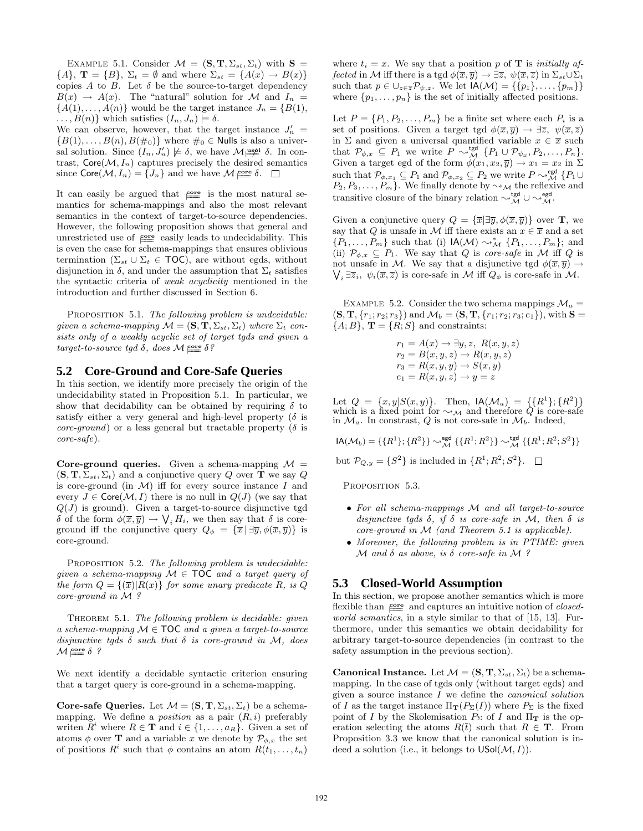EXAMPLE 5.1. Consider  $\mathcal{M} = (\mathbf{S}, \mathbf{T}, \Sigma_{st}, \Sigma_t)$  with  $\mathbf{S} =$  ${A}, \mathbf{T} = {B}, \Sigma_t = \emptyset$  and where  $\Sigma_{st} = {A(x) \rightarrow B(x)}$ copies A to B. Let  $\delta$  be the source-to-target dependency  $B(x) \rightarrow A(x)$ . The "natural" solution for M and  $I_n =$  ${A(1), \ldots, A(n)}$  would be the target instance  $J_n = {B(1), \ldots, A(n)}$  $\ldots$ ,  $B(n)$ } which satisfies  $(I_n, J_n) \models \delta$ .

We can observe, however, that the target instance  $J'_n =$  ${B(1), \ldots, B(n), B(\#_0)}$  where  $\#_0 \in$  Nulls is also a universal solution. Since  $(I_n, J'_n) \not\models \delta$ , we have  $\mathcal{M}_{\neq}^{\text{uspl}} \delta$ . In contrast,  $\text{Core}(\mathcal{M}, I_n)$  captures precisely the desired semantics since  $\text{Core}(\mathcal{M}, I_n) = \{J_n\}$  and we have  $\mathcal{M}^{\text{core}}_{\equiv \infty}$ .

It can easily be argued that  $\frac{core}{}$  is the most natural semantics for schema-mappings and also the most relevant semantics in the context of target-to-source dependencies. However, the following proposition shows that general and unrestricted use of  $\equiv$  easily leads to undecidability. This is even the case for schema-mappings that ensures oblivious termination ( $\Sigma_{st} \cup \Sigma_t \in \text{TOC}$ ), are without egds, without disjunction in  $\delta$ , and under the assumption that  $\Sigma_t$  satisfies the syntactic criteria of *weak acyclicity* mentioned in the introduction and further discussed in Section 6.

Proposition 5.1. *The following problem is undecidable: given a schema-mapping*  $\mathcal{M} = (\mathbf{S}, \mathbf{T}, \Sigma_{st}, \Sigma_t)$  *where*  $\Sigma_t$  *consists only of a weakly acyclic set of target tgds and given a*  $target-to-source\ tgd\ \delta, \ does\ \mathcal{M} \stackrel{\text{core}}{=} \delta$ ?

## **5.2 Core-Ground and Core-Safe Queries**

In this section, we identify more precisely the origin of the undecidability stated in Proposition 5.1. In particular, we show that decidability can be obtained by requiring  $\delta$  to satisfy either a very general and high-level property ( $\delta$  is *core-ground*) or a less general but tractable property ( $\delta$  is *core-safe*).

Core-ground queries. Given a schema-mapping  $\mathcal{M} =$  $(\mathbf{S}, \mathbf{T}, \Sigma_{st}, \Sigma_t)$  and a conjunctive query Q over T we say Q is core-ground (in  $\mathcal{M}$ ) iff for every source instance I and every  $J \in \text{Core}(\mathcal{M}, I)$  there is no null in  $Q(J)$  (we say that  $Q(J)$  is ground). Given a target-to-source disjunctive tgd δ of the form  $\phi(\overline{x}, \overline{y}) \to \bigvee_i H_i$ , we then say that δ is coreground iff the conjunctive query  $Q_{\phi} = {\bar{x} | \exists \bar{y}, \phi(\bar{x}, \bar{y})}$  is core-ground.

Proposition 5.2. *The following problem is undecidable: given a schema-mapping* M ∈ TOC *and a target query of the form*  $Q = \{(\overline{x})|R(x)\}$  *for some unary predicate* R, *is* Q. *core-ground in* M *?*

Theorem 5.1. *The following problem is decidable: given a schema-mapping* M ∈ TOC *and a given a target-to-source disjunctive tgds* δ *such that* δ *is core-ground in* M*, does*  $\mathcal{M}$   $\stackrel{\text{core}}{=\!\!=} \delta$  ?

We next identify a decidable syntactic criterion ensuring that a target query is core-ground in a schema-mapping.

Core-safe Queries. Let  $\mathcal{M} = (\mathbf{S}, \mathbf{T}, \Sigma_{st}, \Sigma_t)$  be a schemamapping. We define a *position* as a pair  $(R, i)$  preferably writen  $R^i$  where  $R \in \mathbf{T}$  and  $i \in \{1, ..., a_R\}$ . Given a set of atoms  $\phi$  over **T** and a variable x we denote by  $\mathcal{P}_{\phi,x}$  the set of positions  $R^i$  such that  $\phi$  contains an atom  $R(t_1, \ldots, t_n)$ 

where  $t_i = x$ . We say that a position p of **T** is *initially affected* in M iff there is a tgd  $\phi(\overline{x}, \overline{y}) \to \exists \overline{z}, \psi(\overline{x}, \overline{z})$  in  $\Sigma_{st} \cup \Sigma_t$ such that  $p \in \bigcup_{z \in \overline{z}} \mathcal{P}_{\psi,z}$ . We let  $\mathsf{IA}(\mathcal{M}) = \{\{p_1\}, \ldots, \{p_m\}\}\$ where  $\{p_1, \ldots, p_n\}$  is the set of initially affected positions.

Let  $P = \{P_1, P_2, \ldots, P_m\}$  be a finite set where each  $P_i$  is a set of positions. Given a target tgd  $\phi(\overline{x}, \overline{y}) \to \exists \overline{z}, \ \psi(\overline{x}, \overline{z})$ in  $\Sigma$  and given a universal quantified variable  $x \in \overline{x}$  such that  $\mathcal{P}_{\phi,x} \subseteq P_1$  we write  $P \sim_{\mathcal{M}}^{\text{tgd}} \{P_1 \cup \mathcal{P}_{\psi_x}, P_2, \ldots, P_n\}.$ Given a target egd of the form  $\phi(x_1, x_2, \overline{y}) \to x_1 = x_2$  in  $\Sigma$ such that  $\mathcal{P}_{\phi,x_1} \subseteq P_1$  and  $\mathcal{P}_{\phi,x_2} \subseteq P_2$  we write  $P \sim_{\mathcal{M}}^{\text{egd}} \{P_1 \cup \phi\}$  $P_2, P_3, \ldots, P_m$ . We finally denote by  $\sim_{\mathcal{M}}$  the reflexive and transitive closure of the binary relation  $\rightsquigarrow^{\text{tgd}}_{\mathcal{M}} \cup \rightsquigarrow^{\text{egd}}_{\mathcal{M}}$ .

Given a conjunctive query  $Q = {\overline{x}} | \exists \overline{y}, \phi(\overline{x}, \overline{y})\}$  over **T**, we say that Q is unsafe in M iff there exists an  $x \in \overline{x}$  and a set  $\{P_1, \ldots, P_m\}$  such that (i)  $\mathsf{IA}(\mathcal{M}) \sim^*_{\mathcal{M}} \{P_1, \ldots, P_m\};$  and (ii)  $\mathcal{P}_{\phi,x} \subseteq P_1$ . We say that Q is *core-safe* in M iff Q is not unsafe in M. We say that a disjunctive tgd  $\phi(\overline{x}, \overline{y}) \rightarrow$  $\bigvee_i \exists \overline{z}_i, \psi_i(\overline{x}, \overline{z})$  is core-safe in M iff  $Q_{\phi}$  is core-safe in M.

EXAMPLE 5.2. Consider the two schema mappings  $\mathcal{M}_a =$  $(S, T, \{r_1; r_2; r_3\})$  and  $\mathcal{M}_b = (S, T, \{r_1; r_2; r_3; e_1\})$ , with  $S =$  ${A; B}$ ,  $\mathbf{T} = {R; S}$  and constraints:

> $r_1 = A(x) \rightarrow \exists y, z, R(x, y, z)$  $r_2 = B(x,y,z) \rightarrow R(x,y,z)$  $r_3 = R(x, y, y) \rightarrow S(x, y)$  $e_1 = R(x, y, z) \rightarrow y = z$

Let  $Q = \{x, y | S(x, y)\}$ . Then,  $\mathsf{IA}(\mathcal{M}_a) = \{\{R^1\}; \{R^2\}\}\$ <br>which is a fixed point for  $\sim_{\mathcal{M}}$  and therefore Q is core-safe in  $\mathcal{M}_a$ . In constrast, Q is not core-safe in  $\mathcal{M}_b$ . Indeed,

 $\mathsf{IA}(\mathcal{M}_b) = \{\{R^1\}; \{R^2\}\} \sim^{\mathsf{egd}}_{\mathcal{M}} \{\{R^1; R^2\}\} \sim^{\mathsf{tgd}}_{\mathcal{M}} \{\{R^1; R^2; S^2\}\}$ 

but  $\mathcal{P}_{Q,y} = \{S^2\}$  is included in  $\{R^1; R^2; S^2\}.$ 

PROPOSITION 5.3.

- *For all schema-mappings* M *and all target-to-source disjunctive tgds* δ*, if* δ *is core-safe in* M*, then* δ *is core-ground in* M *(and Theorem 5.1 is applicable).*
- *Moreover, the following problem is in PTIME: given* M *and* δ *as above, is* δ *core-safe in* M *?*

#### **5.3 Closed-World Assumption**

In this section, we propose another semantics which is more flexible than  $\frac{\text{core}}{\text{me}}$  and captures an intuitive notion of *closedworld semantics*, in a style similar to that of [15, 13]. Furthermore, under this semantics we obtain decidability for arbitrary target-to-source dependencies (in contrast to the safety assumption in the previous section).

**Canonical Instance.** Let  $\mathcal{M} = (\mathbf{S}, \mathbf{T}, \Sigma_{st}, \Sigma_t)$  be a schemamapping. In the case of tgds only (without target egds) and given a source instance I we define the *canonical solution* of I as the target instance  $\Pi_{\mathbf{T}}(P_{\Sigma}(I))$  where  $P_{\Sigma}$  is the fixed point of I by the Skolemisation  $P_{\Sigma}$  of I and  $\Pi_{\mathbf{T}}$  is the operation selecting the atoms  $R(\bar{t})$  such that  $R \in \mathbf{T}$ . From Proposition 3.3 we know that the canonical solution is indeed a solution (i.e., it belongs to  $USol(\mathcal{M}, I)$ ).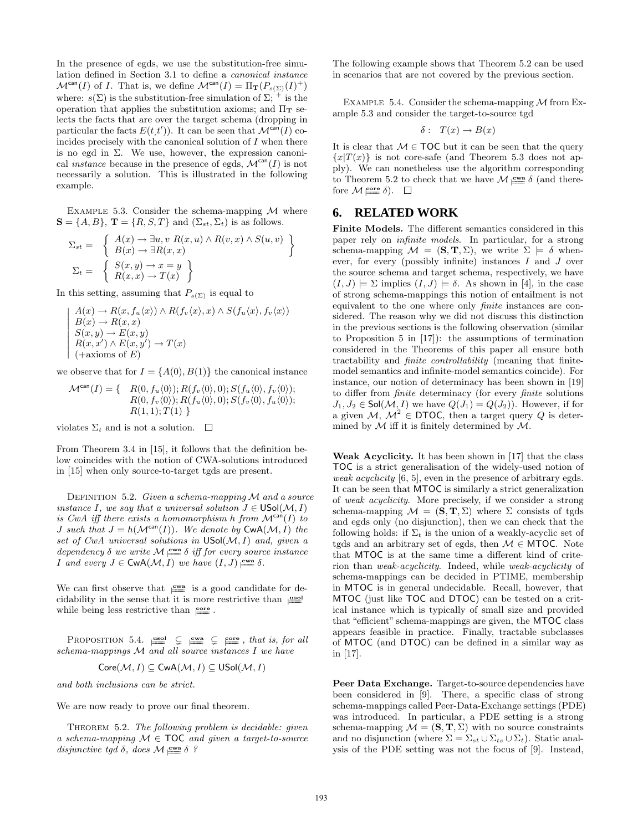In the presence of egds, we use the substitution-free simulation defined in Section 3.1 to define a *canonical instance*  $\mathcal{M}^{\text{can}}(I)$  of I. That is, we define  $\mathcal{M}^{\text{can}}(I) = \Pi_{\mathbf{T}}(P_{s(\Sigma)}(I)^+)$ where:  $s(\Sigma)$  is the substitution-free simulation of  $\Sigma$ ; <sup>+</sup> is the operation that applies the substitution axioms; and  $\Pi_T$  selects the facts that are over the target schema (dropping in particular the facts  $E(t,t')$ ). It can be seen that  $\mathcal{M}^{\text{can}}(I)$  coincides precisely with the canonical solution of  $I$  when there is no egd in  $\Sigma$ . We use, however, the expression canonical *instance* because in the presence of egds,  $\mathcal{M}^{\text{can}}(I)$  is not necessarily a solution. This is illustrated in the following example.

EXAMPLE 5.3. Consider the schema-mapping  $\mathcal M$  where  $S = \{A, B\}, T = \{R, S, T\}$  and  $(\Sigma_{st}, \Sigma_t)$  is as follows.

$$
\Sigma_{st} = \left\{ \begin{array}{l} A(x) \to \exists u, v \ R(x, u) \land R(v, x) \land S(u, v) \\ B(x) \to \exists R(x, x) \end{array} \right\}
$$
  

$$
\Sigma_{t} = \left\{ \begin{array}{l} S(x, y) \to x = y \\ R(x, x) \to T(x) \end{array} \right\}
$$

In this setting, assuming that  $P_{s(\Sigma)}$  is equal to

$$
A(x) \to R(x, f_u(x)) \land R(f_v(x), x) \land S(f_u(x), f_v(x))
$$
  
\n
$$
B(x) \to R(x, x)
$$
  
\n
$$
S(x, y) \to E(x, y)
$$
  
\n
$$
R(x, x') \land E(x, y') \to T(x)
$$
  
\n(+axioms of E)

we observe that for  $I = \{A(0), B(1)\}\$ the canonical instance

$$
\mathcal{M}^{\text{can}}(I) = \{ \begin{array}{c} R(0, f_u \langle 0 \rangle); R(f_v \langle 0 \rangle, 0); S(f_u \langle 0 \rangle, f_v \langle 0 \rangle); \\ R(0, f_v \langle 0 \rangle); R(f_u \langle 0 \rangle, 0); S(f_v \langle 0 \rangle, f_u \langle 0 \rangle); \\ R(1, 1); T(1) \end{array} \}
$$

violates  $\Sigma_t$  and is not a solution.  $\Box$ 

 $\frac{1}{2}$  $\frac{1}{2}$  $\frac{1}{2}$  $\frac{1}{2}$  $\frac{1}{2}$  $\frac{1}{2}$  $\frac{1}{2}$  $\frac{1}{2}$  $\overline{a}$ 

From Theorem 3.4 in [15], it follows that the definition below coincides with the notion of CWA-solutions introduced in [15] when only source-to-target tgds are present.

Definition 5.2. *Given a schema-mapping* M *and a source instance*  $I$ *, we say that a universal solution*  $J \in \mathsf{USol}(\mathcal{M}, I)$ *is CwA iff there exists a homomorphism h from*  $M^{can}(I)$  *to J* such that  $J = h(\mathcal{M}^{can}(I))$ *. We denote by*  $\text{CwA}(\mathcal{M}, I)$  the *set of CwA universal solutions in* USol(M, I) *and, given a*  $\text{ dependency } \delta \text{ we write } \mathcal{M} \underset{\text{new}}{\equiv} \delta \text{ iff for every source instance}$ *I* and every  $J \in \text{CwA}(\mathcal{M}, I)$  we have  $(I, J) \underset{\longleftarrow}{\cong} \delta$ .

We can first observe that  $\equiv$  is a good candidate for decidability in the sense that it is more restrictive than  $\equiv$ while being less restrictive than  $\frac{\text{core}}{2}$ .

PROPOSITION 5.4.  $\equiv$   $\subseteq$   $\equiv$   $\subseteq$   $\equiv$   $\subseteq$   $\equiv$  *, that is, for all schema-mappings* M *and all source instances* I *we have*

$$
Core(\mathcal{M},I)\subseteq CwA(\mathcal{M},I)\subseteq USol(\mathcal{M},I)
$$

*and both inclusions can be strict.*

We are now ready to prove our final theorem.

Theorem 5.2. *The following problem is decidable: given a schema-mapping* M ∈ TOC *and given a target-to-source*  $disjunctive\ tgd\ \delta,\ does\ \mathcal{M}\underset{\longleftarrow}{\leq}\mathcal{N}$ ?

The following example shows that Theorem 5.2 can be used in scenarios that are not covered by the previous section.

EXAMPLE 5.4. Consider the schema-mapping  $M$  from Example 5.3 and consider the target-to-source tgd

$$
\delta: T(x) \to B(x)
$$

It is clear that  $M \in \text{TOC}$  but it can be seen that the query  ${x|T(x)}$  is not core-safe (and Theorem 5.3 does not apply). We can nonetheless use the algorithm corresponding to Theorem 5.2 to check that we have  $\mathcal{M} \equiv \delta$  (and therefore  $\mathcal{M}$   $\underset{\longleftarrow}{\text{core}}$   $\delta$ ).

## **6. RELATED WORK**

Finite Models. The different semantics considered in this paper rely on *infinite models*. In particular, for a strong schema-mapping  $\mathcal{M} = (\mathbf{S}, \mathbf{T}, \Sigma)$ , we write  $\Sigma \models \delta$  whenever, for every (possibly infinite) instances  $I$  and  $J$  over the source schema and target schema, respectively, we have  $(I, J) \models \Sigma$  implies  $(I, J) \models \delta$ . As shown in [4], in the case of strong schema-mappings this notion of entailment is not equivalent to the one where only *finite* instances are considered. The reason why we did not discuss this distinction in the previous sections is the following observation (similar to Proposition 5 in [17]): the assumptions of termination considered in the Theorems of this paper all ensure both tractability and *finite controllability* (meaning that finitemodel semantics and infinite-model semantics coincide). For instance, our notion of determinacy has been shown in [19] to differ from *finite* determinacy (for every *finite* solutions  $J_1, J_2 \in \mathsf{Sol}(\mathcal{M}, I)$  we have  $Q(J_1) = Q(J_2)$ . However, if for a given  $M, M^2 \in \text{DTOC}$ , then a target query Q is determined by  $M$  iff it is finitely determined by  $M$ .

Weak Acyclicity. It has been shown in [17] that the class TOC is a strict generalisation of the widely-used notion of *weak acyclicity* [6, 5], even in the presence of arbitrary egds. It can be seen that MTOC is similarly a strict generalization of *weak acyclicity*. More precisely, if we consider a strong schema-mapping  $\mathcal{M} = (\mathbf{S}, \mathbf{T}, \Sigma)$  where  $\Sigma$  consists of tgds and egds only (no disjunction), then we can check that the following holds: if  $\Sigma_t$  is the union of a weakly-acyclic set of tgds and an arbitrary set of egds, then  $M \in MTOC$ . Note that MTOC is at the same time a different kind of criterion than *weak-acyclicity*. Indeed, while *weak-acyclicity* of schema-mappings can be decided in PTIME, membership in MTOC is in general undecidable. Recall, however, that MTOC (just like TOC and DTOC) can be tested on a critical instance which is typically of small size and provided that "efficient" schema-mappings are given, the MTOC class appears feasible in practice. Finally, tractable subclasses of MTOC (and DTOC) can be defined in a similar way as in [17].

Peer Data Exchange. Target-to-source dependencies have been considered in [9]. There, a specific class of strong schema-mappings called Peer-Data-Exchange settings (PDE) was introduced. In particular, a PDE setting is a strong schema-mapping  $\mathcal{M} = (\mathbf{S}, \mathbf{T}, \Sigma)$  with no source constraints and no disjunction (where  $\Sigma = \Sigma_{st} \cup \Sigma_{ts} \cup \Sigma_t$ ). Static analysis of the PDE setting was not the focus of [9]. Instead,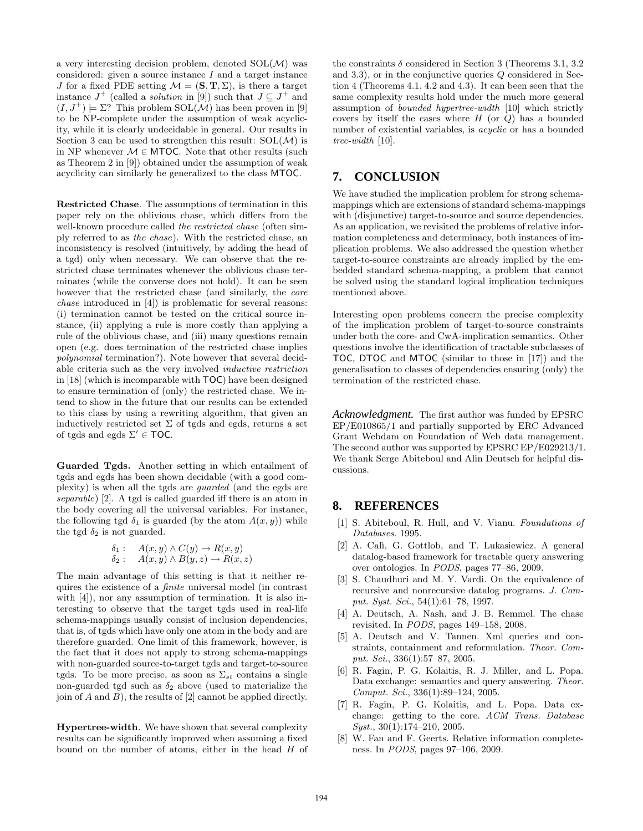a very interesting decision problem, denoted  $SOL(\mathcal{M})$  was considered: given a source instance  $I$  and a target instance J for a fixed PDE setting  $\mathcal{M} = (\mathbf{S}, \mathbf{T}, \Sigma)$ , is there a target instance  $J^+$  (called a *solution* in [9]) such that  $J \subseteq J^+$  and  $(I, J^+) \models \Sigma$ ? This problem SOL(M) has been proven in [9] to be NP-complete under the assumption of weak acyclicity, while it is clearly undecidable in general. Our results in Section 3 can be used to strengthen this result:  $SOL(\mathcal{M})$  is in NP whenever  $M \in MTOC$ . Note that other results (such as Theorem 2 in [9]) obtained under the assumption of weak acyclicity can similarly be generalized to the class MTOC.

Restricted Chase. The assumptions of termination in this paper rely on the oblivious chase, which differs from the well-known procedure called *the restricted chase* (often simply referred to as *the chase*). With the restricted chase, an inconsistency is resolved (intuitively, by adding the head of a tgd) only when necessary. We can observe that the restricted chase terminates whenever the oblivious chase terminates (while the converse does not hold). It can be seen however that the restricted chase (and similarly, the *core chase* introduced in [4]) is problematic for several reasons: (i) termination cannot be tested on the critical source instance, (ii) applying a rule is more costly than applying a rule of the oblivious chase, and (iii) many questions remain open (e.g. does termination of the restricted chase implies *polynomial* termination?). Note however that several decidable criteria such as the very involved *inductive restriction* in [18] (which is incomparable with TOC) have been designed to ensure termination of (only) the restricted chase. We intend to show in the future that our results can be extended to this class by using a rewriting algorithm, that given an inductively restricted set  $\Sigma$  of tgds and egds, returns a set of tgds and egds  $\Sigma' \in \text{TOC}$ .

Guarded Tgds. Another setting in which entailment of tgds and egds has been shown decidable (with a good complexity) is when all the tgds are *guarded* (and the egds are *separable*) [2]. A tgd is called guarded iff there is an atom in the body covering all the universal variables. For instance, the following tgd  $\delta_1$  is guarded (by the atom  $A(x, y)$ ) while the tgd  $\delta_2$  is not guarded.

$$
\begin{array}{ll} \delta_1: & A(x,y) \wedge C(y) \rightarrow R(x,y) \\ \delta_2: & A(x,y) \wedge B(y,z) \rightarrow R(x,z) \end{array}
$$

The main advantage of this setting is that it neither requires the existence of a *finite* universal model (in contrast with [4]), nor any assumption of termination. It is also interesting to observe that the target tgds used in real-life schema-mappings usually consist of inclusion dependencies, that is, of tgds which have only one atom in the body and are therefore guarded. One limit of this framework, however, is the fact that it does not apply to strong schema-mappings with non-guarded source-to-target tgds and target-to-source tgds. To be more precise, as soon as  $\Sigma_{st}$  contains a single non-guarded tgd such as  $\delta_2$  above (used to materialize the join of  $A$  and  $B$ ), the results of  $[2]$  cannot be applied directly.

Hypertree-width. We have shown that several complexity results can be significantly improved when assuming a fixed bound on the number of atoms, either in the head  $H$  of the constraints  $\delta$  considered in Section 3 (Theorems 3.1, 3.2) and 3.3), or in the conjunctive queries Q considered in Section 4 (Theorems 4.1, 4.2 and 4.3). It can been seen that the same complexity results hold under the much more general assumption of *bounded hypertree-width* [10] which strictly covers by itself the cases where  $H$  (or  $Q$ ) has a bounded number of existential variables, is *acyclic* or has a bounded *tree-width* [10].

## **7. CONCLUSION**

We have studied the implication problem for strong schemamappings which are extensions of standard schema-mappings with (disjunctive) target-to-source and source dependencies. As an application, we revisited the problems of relative information completeness and determinacy, both instances of implication problems. We also addressed the question whether target-to-source constraints are already implied by the embedded standard schema-mapping, a problem that cannot be solved using the standard logical implication techniques mentioned above.

Interesting open problems concern the precise complexity of the implication problem of target-to-source constraints under both the core- and CwA-implication semantics. Other questions involve the identification of tractable subclasses of TOC, DTOC and MTOC (similar to those in [17]) and the generalisation to classes of dependencies ensuring (only) the termination of the restricted chase.

*Acknowledgment.* The first author was funded by EPSRC EP/E010865/1 and partially supported by ERC Advanced Grant Webdam on Foundation of Web data management. The second author was supported by EPSRC EP/E029213/1. We thank Serge Abiteboul and Alin Deutsch for helpful discussions.

# **8. REFERENCES**

- [1] S. Abiteboul, R. Hull, and V. Vianu. *Foundations of Databases*. 1995.
- [2] A. Calì, G. Gottlob, and T. Lukasiewicz. A general datalog-based framework for tractable query answering over ontologies. In *PODS*, pages 77–86, 2009.
- [3] S. Chaudhuri and M. Y. Vardi. On the equivalence of recursive and nonrecursive datalog programs. *J. Comput. Syst. Sci.*, 54(1):61–78, 1997.
- [4] A. Deutsch, A. Nash, and J. B. Remmel. The chase revisited. In *PODS*, pages 149–158, 2008.
- [5] A. Deutsch and V. Tannen. Xml queries and constraints, containment and reformulation. *Theor. Comput. Sci.*, 336(1):57–87, 2005.
- [6] R. Fagin, P. G. Kolaitis, R. J. Miller, and L. Popa. Data exchange: semantics and query answering. *Theor. Comput. Sci.*, 336(1):89–124, 2005.
- [7] R. Fagin, P. G. Kolaitis, and L. Popa. Data exchange: getting to the core. *ACM Trans. Database Syst.*, 30(1):174–210, 2005.
- [8] W. Fan and F. Geerts. Relative information completeness. In *PODS*, pages 97–106, 2009.